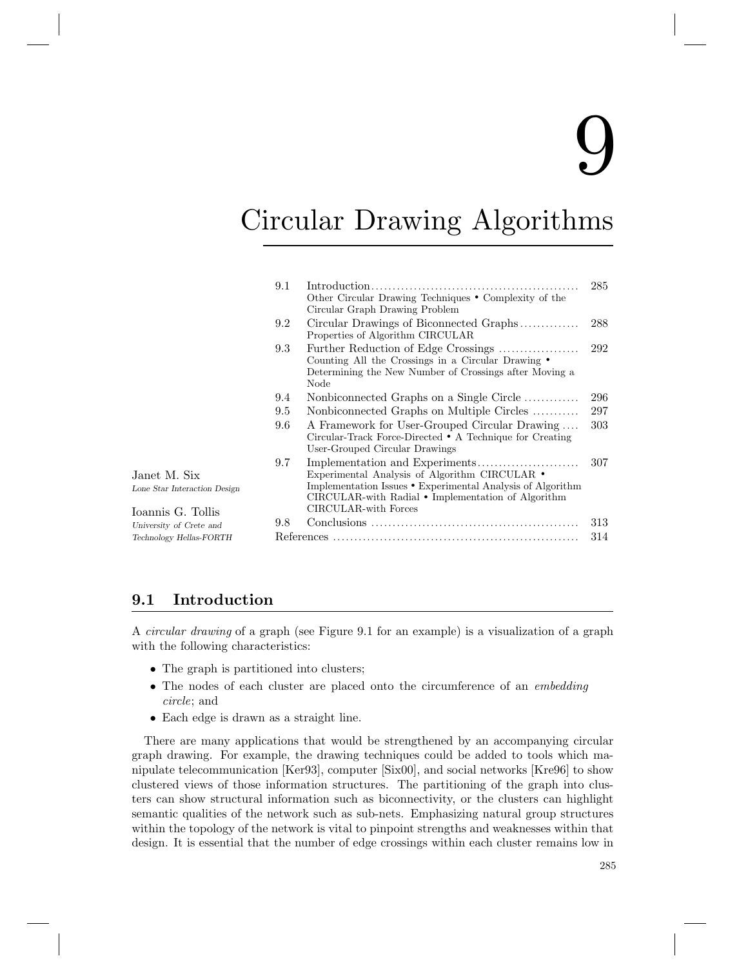# 9

## Circular Drawing Algorithms

|                              | 9.1 | Other Circular Drawing Techniques • Complexity of the<br>Circular Graph Drawing Problem                                                                             | 285 |
|------------------------------|-----|---------------------------------------------------------------------------------------------------------------------------------------------------------------------|-----|
|                              | 9.2 | Circular Drawings of Biconnected Graphs<br>Properties of Algorithm CIRCULAR                                                                                         | 288 |
|                              | 9.3 | Further Reduction of Edge Crossings<br>Counting All the Crossings in a Circular Drawing $\bullet$<br>Determining the New Number of Crossings after Moving a<br>Node | 292 |
|                              | 9.4 | Nonbiconnected Graphs on a Single Circle                                                                                                                            | 296 |
|                              | 9.5 | Nonbiconnected Graphs on Multiple Circles                                                                                                                           | 297 |
|                              | 9.6 | A Framework for User-Grouped Circular Drawing<br>Circular-Track Force-Directed • A Technique for Creating<br>User-Grouped Circular Drawings                         | 303 |
|                              | 9.7 |                                                                                                                                                                     | 307 |
| Janet M. Six                 |     | Experimental Analysis of Algorithm CIRCULAR $\bullet$                                                                                                               |     |
| Lone Star Interaction Design |     | Implementation Issues • Experimental Analysis of Algorithm<br>CIRCULAR-with Radial • Implementation of Algorithm                                                    |     |
| Ioannis G. Tollis            |     | CIRCULAR-with Forces                                                                                                                                                |     |
| University of Crete and      | 9.8 |                                                                                                                                                                     | 313 |
| Technology Hellas-FORTH      |     |                                                                                                                                                                     | 314 |

### 9.1 Introduction

A circular drawing of a graph (see Figure 9.1 for an example) is a visualization of a graph with the following characteristics:

- The graph is partitioned into clusters;
- The nodes of each cluster are placed onto the circumference of an *embedding* circle; and
- Each edge is drawn as a straight line.

There are many applications that would be strengthened by an accompanying circular graph drawing. For example, the drawing techniques could be added to tools which manipulate telecommunication [Ker93], computer [Six00], and social networks [Kre96] to show clustered views of those information structures. The partitioning of the graph into clusters can show structural information such as biconnectivity, or the clusters can highlight semantic qualities of the network such as sub-nets. Emphasizing natural group structures within the topology of the network is vital to pinpoint strengths and weaknesses within that design. It is essential that the number of edge crossings within each cluster remains low in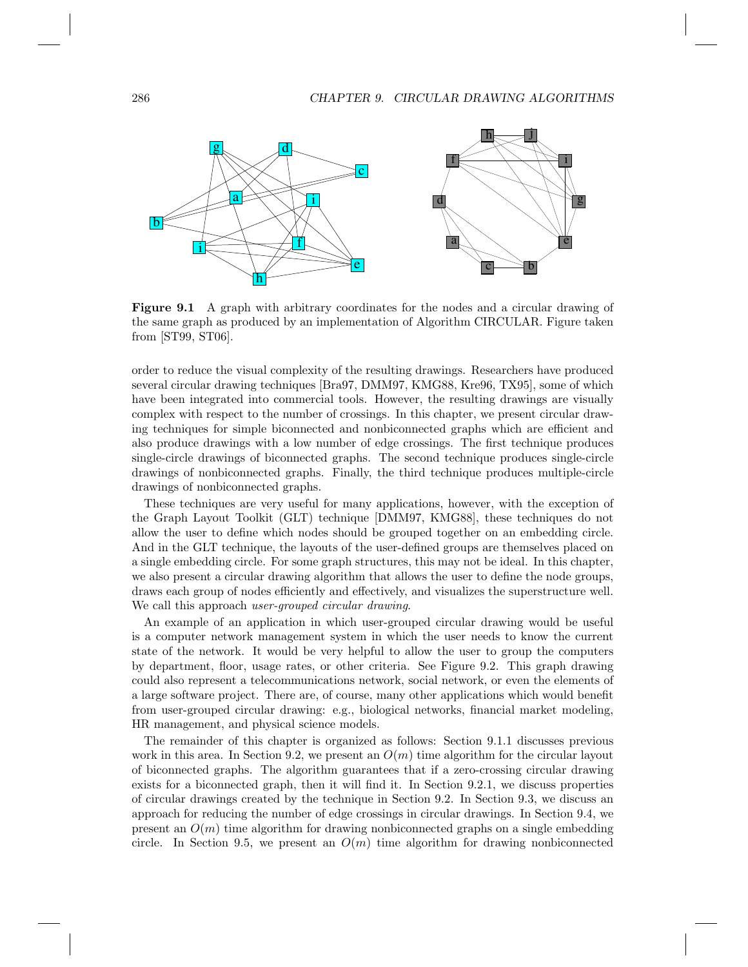

Figure 9.1 A graph with arbitrary coordinates for the nodes and a circular drawing of the same graph as produced by an implementation of Algorithm CIRCULAR. Figure taken from [ST99, ST06].

order to reduce the visual complexity of the resulting drawings. Researchers have produced several circular drawing techniques [Bra97, DMM97, KMG88, Kre96, TX95], some of which have been integrated into commercial tools. However, the resulting drawings are visually complex with respect to the number of crossings. In this chapter, we present circular drawing techniques for simple biconnected and nonbiconnected graphs which are efficient and also produce drawings with a low number of edge crossings. The first technique produces single-circle drawings of biconnected graphs. The second technique produces single-circle drawings of nonbiconnected graphs. Finally, the third technique produces multiple-circle drawings of nonbiconnected graphs.

These techniques are very useful for many applications, however, with the exception of the Graph Layout Toolkit (GLT) technique [DMM97, KMG88], these techniques do not allow the user to define which nodes should be grouped together on an embedding circle. And in the GLT technique, the layouts of the user-defined groups are themselves placed on a single embedding circle. For some graph structures, this may not be ideal. In this chapter, we also present a circular drawing algorithm that allows the user to define the node groups, draws each group of nodes efficiently and effectively, and visualizes the superstructure well. We call this approach *user-grouped circular drawing*.

An example of an application in which user-grouped circular drawing would be useful is a computer network management system in which the user needs to know the current state of the network. It would be very helpful to allow the user to group the computers by department, floor, usage rates, or other criteria. See Figure 9.2. This graph drawing could also represent a telecommunications network, social network, or even the elements of a large software project. There are, of course, many other applications which would benefit from user-grouped circular drawing: e.g., biological networks, financial market modeling, HR management, and physical science models.

The remainder of this chapter is organized as follows: Section 9.1.1 discusses previous work in this area. In Section 9.2, we present an  $O(m)$  time algorithm for the circular layout of biconnected graphs. The algorithm guarantees that if a zero-crossing circular drawing exists for a biconnected graph, then it will find it. In Section 9.2.1, we discuss properties of circular drawings created by the technique in Section 9.2. In Section 9.3, we discuss an approach for reducing the number of edge crossings in circular drawings. In Section 9.4, we present an  $O(m)$  time algorithm for drawing nonbiconnected graphs on a single embedding circle. In Section 9.5, we present an  $O(m)$  time algorithm for drawing nonbiconnected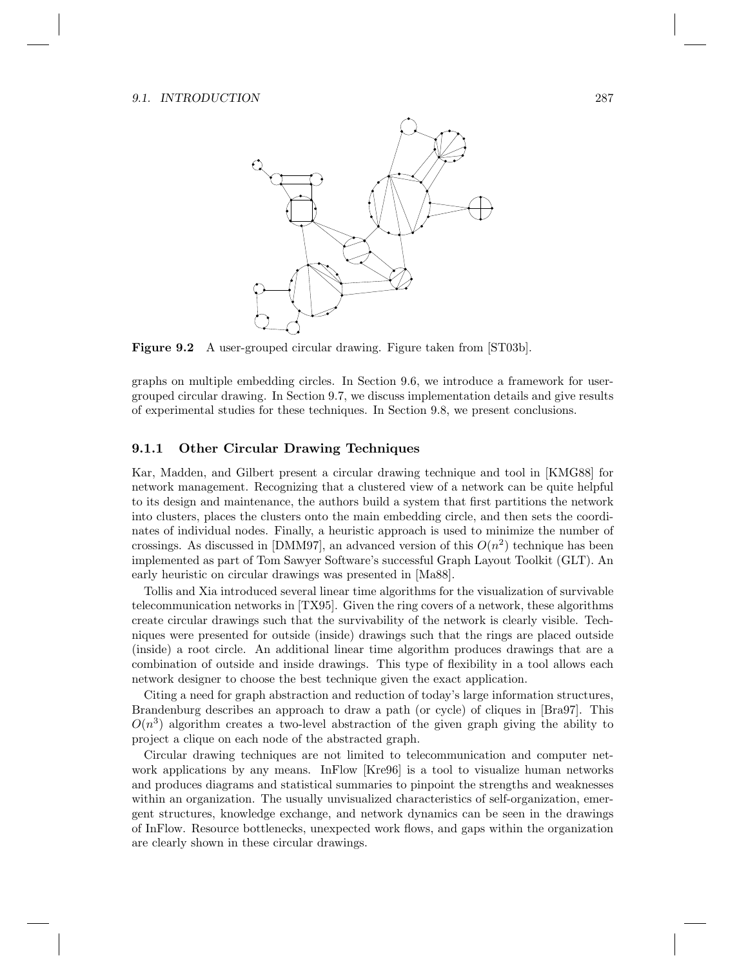

Figure 9.2 A user-grouped circular drawing. Figure taken from [ST03b].

graphs on multiple embedding circles. In Section 9.6, we introduce a framework for usergrouped circular drawing. In Section 9.7, we discuss implementation details and give results of experimental studies for these techniques. In Section 9.8, we present conclusions.

#### 9.1.1 Other Circular Drawing Techniques

Kar, Madden, and Gilbert present a circular drawing technique and tool in [KMG88] for network management. Recognizing that a clustered view of a network can be quite helpful to its design and maintenance, the authors build a system that first partitions the network into clusters, places the clusters onto the main embedding circle, and then sets the coordinates of individual nodes. Finally, a heuristic approach is used to minimize the number of crossings. As discussed in [DMM97], an advanced version of this  $O(n^2)$  technique has been implemented as part of Tom Sawyer Software's successful Graph Layout Toolkit (GLT). An early heuristic on circular drawings was presented in [Ma88].

Tollis and Xia introduced several linear time algorithms for the visualization of survivable telecommunication networks in [TX95]. Given the ring covers of a network, these algorithms create circular drawings such that the survivability of the network is clearly visible. Techniques were presented for outside (inside) drawings such that the rings are placed outside (inside) a root circle. An additional linear time algorithm produces drawings that are a combination of outside and inside drawings. This type of flexibility in a tool allows each network designer to choose the best technique given the exact application.

Citing a need for graph abstraction and reduction of today's large information structures, Brandenburg describes an approach to draw a path (or cycle) of cliques in [Bra97]. This  $O(n^3)$  algorithm creates a two-level abstraction of the given graph giving the ability to project a clique on each node of the abstracted graph.

Circular drawing techniques are not limited to telecommunication and computer network applications by any means. InFlow [Kre96] is a tool to visualize human networks and produces diagrams and statistical summaries to pinpoint the strengths and weaknesses within an organization. The usually unvisualized characteristics of self-organization, emergent structures, knowledge exchange, and network dynamics can be seen in the drawings of InFlow. Resource bottlenecks, unexpected work flows, and gaps within the organization are clearly shown in these circular drawings.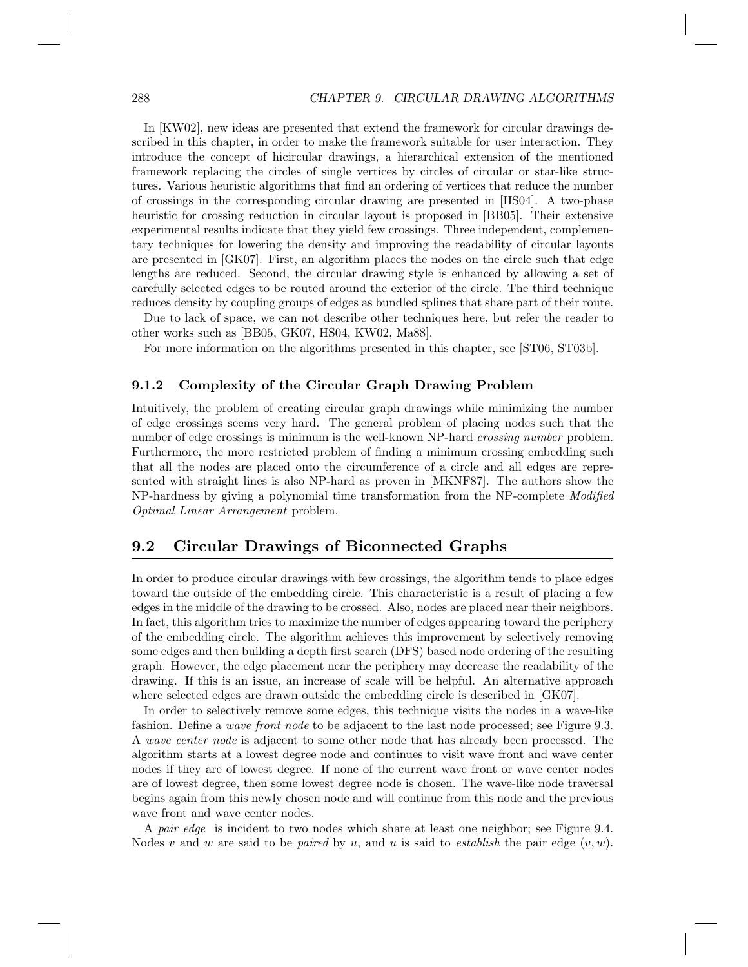In [KW02], new ideas are presented that extend the framework for circular drawings described in this chapter, in order to make the framework suitable for user interaction. They introduce the concept of hicircular drawings, a hierarchical extension of the mentioned framework replacing the circles of single vertices by circles of circular or star-like structures. Various heuristic algorithms that find an ordering of vertices that reduce the number of crossings in the corresponding circular drawing are presented in [HS04]. A two-phase heuristic for crossing reduction in circular layout is proposed in [BB05]. Their extensive experimental results indicate that they yield few crossings. Three independent, complementary techniques for lowering the density and improving the readability of circular layouts are presented in [GK07]. First, an algorithm places the nodes on the circle such that edge lengths are reduced. Second, the circular drawing style is enhanced by allowing a set of carefully selected edges to be routed around the exterior of the circle. The third technique reduces density by coupling groups of edges as bundled splines that share part of their route.

Due to lack of space, we can not describe other techniques here, but refer the reader to other works such as [BB05, GK07, HS04, KW02, Ma88].

For more information on the algorithms presented in this chapter, see [ST06, ST03b].

#### 9.1.2 Complexity of the Circular Graph Drawing Problem

Intuitively, the problem of creating circular graph drawings while minimizing the number of edge crossings seems very hard. The general problem of placing nodes such that the number of edge crossings is minimum is the well-known NP-hard *crossing number* problem. Furthermore, the more restricted problem of finding a minimum crossing embedding such that all the nodes are placed onto the circumference of a circle and all edges are represented with straight lines is also NP-hard as proven in [MKNF87]. The authors show the NP-hardness by giving a polynomial time transformation from the NP-complete Modified Optimal Linear Arrangement problem.

#### 9.2 Circular Drawings of Biconnected Graphs

In order to produce circular drawings with few crossings, the algorithm tends to place edges toward the outside of the embedding circle. This characteristic is a result of placing a few edges in the middle of the drawing to be crossed. Also, nodes are placed near their neighbors. In fact, this algorithm tries to maximize the number of edges appearing toward the periphery of the embedding circle. The algorithm achieves this improvement by selectively removing some edges and then building a depth first search (DFS) based node ordering of the resulting graph. However, the edge placement near the periphery may decrease the readability of the drawing. If this is an issue, an increase of scale will be helpful. An alternative approach where selected edges are drawn outside the embedding circle is described in [GK07].

In order to selectively remove some edges, this technique visits the nodes in a wave-like fashion. Define a *wave front node* to be adjacent to the last node processed; see Figure 9.3. A *wave center node* is adjacent to some other node that has already been processed. The algorithm starts at a lowest degree node and continues to visit wave front and wave center nodes if they are of lowest degree. If none of the current wave front or wave center nodes are of lowest degree, then some lowest degree node is chosen. The wave-like node traversal begins again from this newly chosen node and will continue from this node and the previous wave front and wave center nodes.

A pair edge is incident to two nodes which share at least one neighbor; see Figure 9.4. Nodes v and w are said to be paired by u, and u is said to establish the pair edge  $(v, w)$ .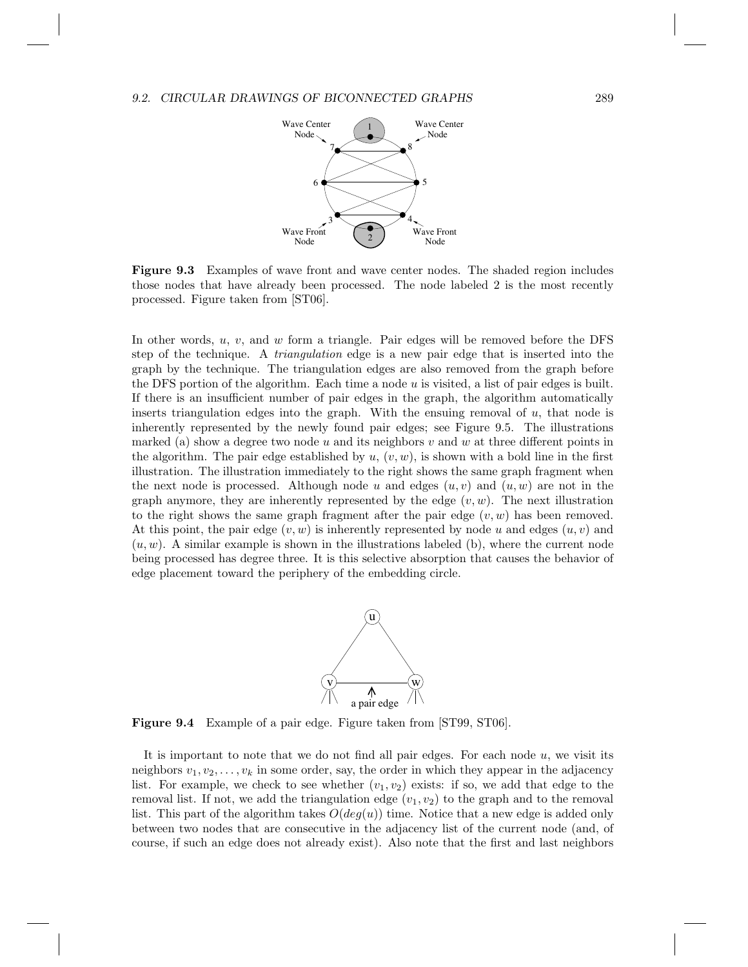#### 9.2. CIRCULAR DRAWINGS OF BICONNECTED GRAPHS 289



Figure 9.3 Examples of wave front and wave center nodes. The shaded region includes those nodes that have already been processed. The node labeled 2 is the most recently processed. Figure taken from [ST06].

In other words,  $u, v$ , and  $w$  form a triangle. Pair edges will be removed before the DFS step of the technique. A triangulation edge is a new pair edge that is inserted into the graph by the technique. The triangulation edges are also removed from the graph before the DFS portion of the algorithm. Each time a node u is visited, a list of pair edges is built. If there is an insufficient number of pair edges in the graph, the algorithm automatically inserts triangulation edges into the graph. With the ensuing removal of  $u$ , that node is inherently represented by the newly found pair edges; see Figure 9.5. The illustrations marked (a) show a degree two node  $u$  and its neighbors  $v$  and  $w$  at three different points in the algorithm. The pair edge established by  $u, (v, w)$ , is shown with a bold line in the first illustration. The illustration immediately to the right shows the same graph fragment when the next node is processed. Although node u and edges  $(u, v)$  and  $(u, w)$  are not in the graph anymore, they are inherently represented by the edge  $(v, w)$ . The next illustration to the right shows the same graph fragment after the pair edge  $(v, w)$  has been removed. At this point, the pair edge  $(v, w)$  is inherently represented by node u and edges  $(u, v)$  and  $(u, w)$ . A similar example is shown in the illustrations labeled (b), where the current node being processed has degree three. It is this selective absorption that causes the behavior of edge placement toward the periphery of the embedding circle.



Figure 9.4 Example of a pair edge. Figure taken from [ST99, ST06].

It is important to note that we do not find all pair edges. For each node  $u$ , we visit its neighbors  $v_1, v_2, \ldots, v_k$  in some order, say, the order in which they appear in the adjacency list. For example, we check to see whether  $(v_1, v_2)$  exists: if so, we add that edge to the removal list. If not, we add the triangulation edge  $(v_1, v_2)$  to the graph and to the removal list. This part of the algorithm takes  $O(deg(u))$  time. Notice that a new edge is added only between two nodes that are consecutive in the adjacency list of the current node (and, of course, if such an edge does not already exist). Also note that the first and last neighbors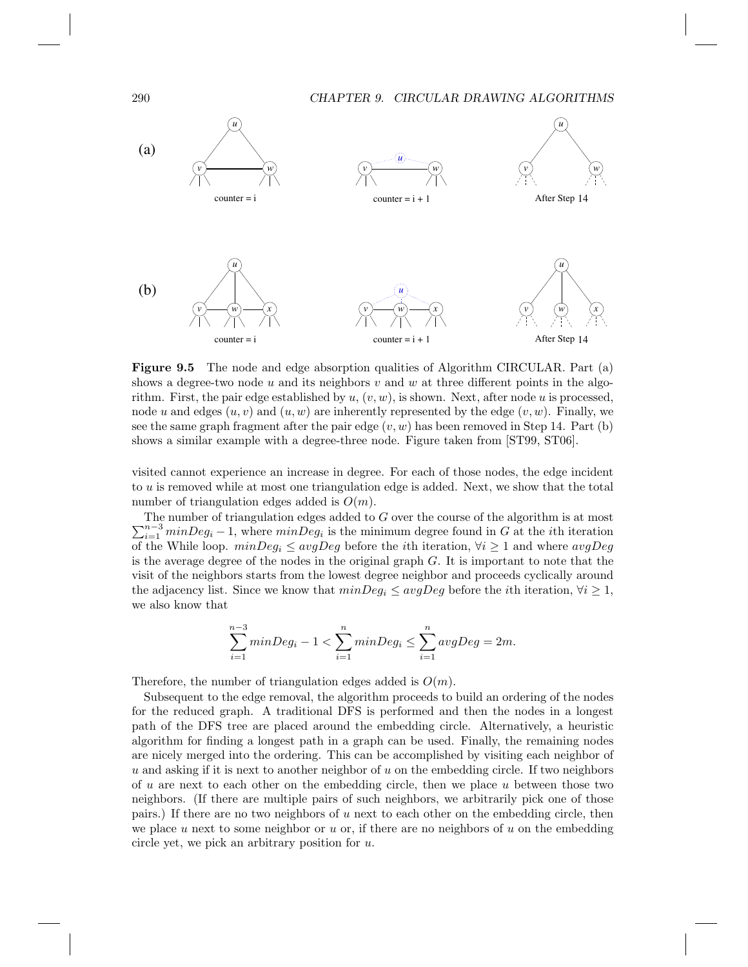#### 290 CHAPTER 9. CIRCULAR DRAWING ALGORITHMS



Figure 9.5 The node and edge absorption qualities of Algorithm CIRCULAR. Part (a) shows a degree-two node u and its neighbors v and w at three different points in the algorithm. First, the pair edge established by  $u, (v, w)$ , is shown. Next, after node u is processed, node u and edges  $(u, v)$  and  $(u, w)$  are inherently represented by the edge  $(v, w)$ . Finally, we see the same graph fragment after the pair edge  $(v, w)$  has been removed in Step 14. Part (b) shows a similar example with a degree-three node. Figure taken from [ST99, ST06].

visited cannot experience an increase in degree. For each of those nodes, the edge incident to u is removed while at most one triangulation edge is added. Next, we show that the total number of triangulation edges added is  $O(m)$ .

 $\sum_{i=1}^{n-3} minDeg_i-1$ , where  $minDeg_i$  is the minimum degree found in G at the *i*th iteration The number of triangulation edges added to  $G$  over the course of the algorithm is at most of the While loop.  $minDeg_i \leq avgDeg$  before the *i*th iteration,  $\forall i \geq 1$  and where  $avgDeg$ is the average degree of the nodes in the original graph  $G$ . It is important to note that the visit of the neighbors starts from the lowest degree neighbor and proceeds cyclically around the adjacency list. Since we know that  $minDeg_i \leq avgDeg$  before the *i*th iteration,  $\forall i \geq 1$ , we also know that

$$
\sum_{i=1}^{n-3} minDeg_i - 1 < \sum_{i=1}^{n} minDeg_i \le \sum_{i=1}^{n} avgDeg = 2m.
$$

Therefore, the number of triangulation edges added is  $O(m)$ .

Subsequent to the edge removal, the algorithm proceeds to build an ordering of the nodes for the reduced graph. A traditional DFS is performed and then the nodes in a longest path of the DFS tree are placed around the embedding circle. Alternatively, a heuristic algorithm for finding a longest path in a graph can be used. Finally, the remaining nodes are nicely merged into the ordering. This can be accomplished by visiting each neighbor of u and asking if it is next to another neighbor of u on the embedding circle. If two neighbors of  $u$  are next to each other on the embedding circle, then we place  $u$  between those two neighbors. (If there are multiple pairs of such neighbors, we arbitrarily pick one of those pairs.) If there are no two neighbors of u next to each other on the embedding circle, then we place u next to some neighbor or u or, if there are no neighbors of u on the embedding circle yet, we pick an arbitrary position for u.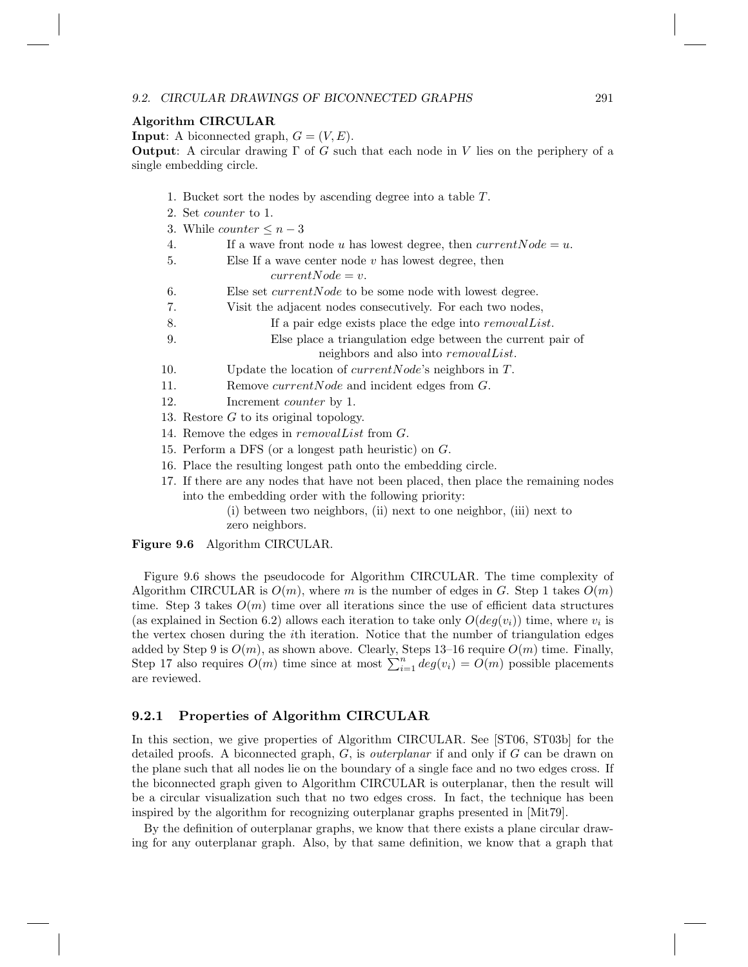#### 9.2. CIRCULAR DRAWINGS OF BICONNECTED GRAPHS 291

#### Algorithm CIRCULAR

**Input:** A biconnected graph,  $G = (V, E)$ .

**Output:** A circular drawing  $\Gamma$  of G such that each node in V lies on the periphery of a single embedding circle.

- 1. Bucket sort the nodes by ascending degree into a table T.
- 2. Set counter to 1.
- 3. While *counter*  $\leq n-3$
- 4. If a wave front node u has lowest degree, then  $currentNode = u$ .
- 5. Else If a wave center node  $v$  has lowest degree, then  $currentNode = v.$
- 6. Else set  $currentNode$  to be some node with lowest degree.
- 7. Visit the adjacent nodes consecutively. For each two nodes,
- 8. If a pair edge exists place the edge into removalList.
- 9. Else place a triangulation edge between the current pair of
	- neighbors and also into removalList.
- 10. Update the location of *currentNode*'s neighbors in T.
- 11. Remove *currentNode* and incident edges from G.
- 12. Increment counter by 1.
- 13. Restore G to its original topology.
- 14. Remove the edges in *removalList* from G.
- 15. Perform a DFS (or a longest path heuristic) on G.
- 16. Place the resulting longest path onto the embedding circle.
- 17. If there are any nodes that have not been placed, then place the remaining nodes into the embedding order with the following priority:
	- (i) between two neighbors, (ii) next to one neighbor, (iii) next to zero neighbors.

Figure 9.6 Algorithm CIRCULAR.

Figure 9.6 shows the pseudocode for Algorithm CIRCULAR. The time complexity of Algorithm CIRCULAR is  $O(m)$ , where m is the number of edges in G. Step 1 takes  $O(m)$ time. Step 3 takes  $O(m)$  time over all iterations since the use of efficient data structures (as explained in Section 6.2) allows each iteration to take only  $O(deg(v_i))$  time, where  $v_i$  is the vertex chosen during the ith iteration. Notice that the number of triangulation edges added by Step 9 is  $O(m)$ , as shown above. Clearly, Steps 13–16 require  $O(m)$  time. Finally, Step 17 also requires  $O(m)$  time since at most  $\sum_{i=1}^{n} deg(v_i) = O(m)$  possible placements are reviewed.

#### 9.2.1 Properties of Algorithm CIRCULAR

In this section, we give properties of Algorithm CIRCULAR. See [ST06, ST03b] for the detailed proofs. A biconnected graph,  $G$ , is *outerplanar* if and only if  $G$  can be drawn on the plane such that all nodes lie on the boundary of a single face and no two edges cross. If the biconnected graph given to Algorithm CIRCULAR is outerplanar, then the result will be a circular visualization such that no two edges cross. In fact, the technique has been inspired by the algorithm for recognizing outerplanar graphs presented in [Mit79].

By the definition of outerplanar graphs, we know that there exists a plane circular drawing for any outerplanar graph. Also, by that same definition, we know that a graph that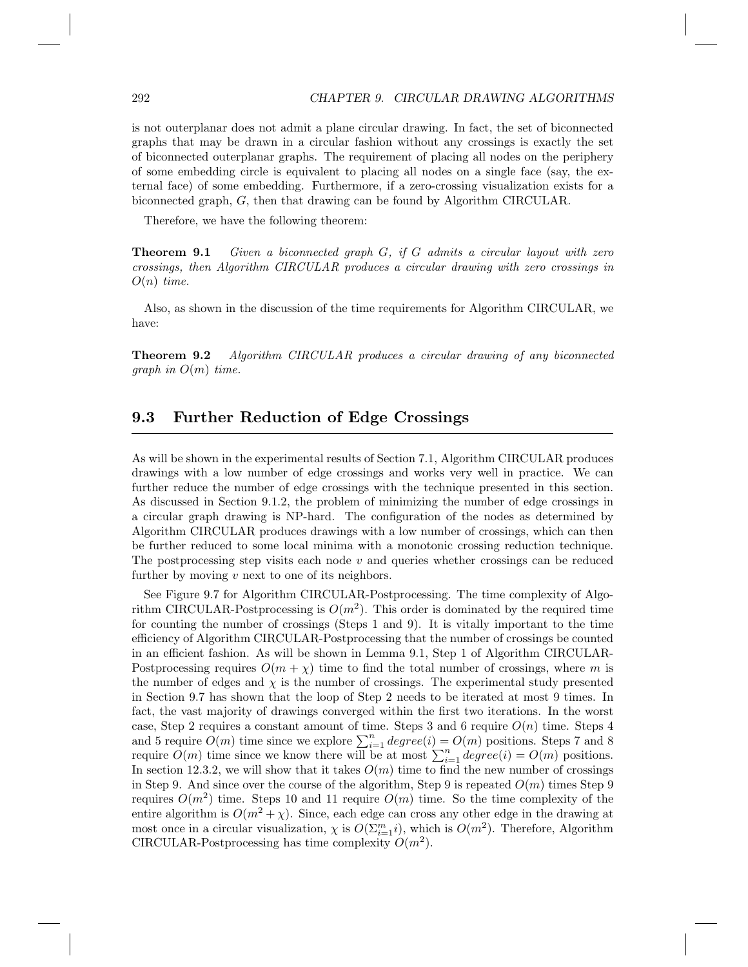is not outerplanar does not admit a plane circular drawing. In fact, the set of biconnected graphs that may be drawn in a circular fashion without any crossings is exactly the set of biconnected outerplanar graphs. The requirement of placing all nodes on the periphery of some embedding circle is equivalent to placing all nodes on a single face (say, the external face) of some embedding. Furthermore, if a zero-crossing visualization exists for a biconnected graph, G, then that drawing can be found by Algorithm CIRCULAR.

Therefore, we have the following theorem:

**Theorem 9.1** Given a biconnected graph G, if G admits a circular layout with zero crossings, then Algorithm CIRCULAR produces a circular drawing with zero crossings in  $O(n)$  time.

Also, as shown in the discussion of the time requirements for Algorithm CIRCULAR, we have:

**Theorem 9.2** Algorithm CIRCULAR produces a circular drawing of any biconnected graph in  $O(m)$  time.

#### 9.3 Further Reduction of Edge Crossings

As will be shown in the experimental results of Section 7.1, Algorithm CIRCULAR produces drawings with a low number of edge crossings and works very well in practice. We can further reduce the number of edge crossings with the technique presented in this section. As discussed in Section 9.1.2, the problem of minimizing the number of edge crossings in a circular graph drawing is NP-hard. The configuration of the nodes as determined by Algorithm CIRCULAR produces drawings with a low number of crossings, which can then be further reduced to some local minima with a monotonic crossing reduction technique. The postprocessing step visits each node  $v$  and queries whether crossings can be reduced further by moving  $v$  next to one of its neighbors.

See Figure 9.7 for Algorithm CIRCULAR-Postprocessing. The time complexity of Algorithm CIRCULAR-Postprocessing is  $O(m^2)$ . This order is dominated by the required time for counting the number of crossings (Steps 1 and 9). It is vitally important to the time efficiency of Algorithm CIRCULAR-Postprocessing that the number of crossings be counted in an efficient fashion. As will be shown in Lemma 9.1, Step 1 of Algorithm CIRCULAR-Postprocessing requires  $O(m + \chi)$  time to find the total number of crossings, where m is the number of edges and  $\chi$  is the number of crossings. The experimental study presented in Section 9.7 has shown that the loop of Step 2 needs to be iterated at most 9 times. In fact, the vast majority of drawings converged within the first two iterations. In the worst case, Step 2 requires a constant amount of time. Steps 3 and 6 require  $O(n)$  time. Steps 4 and 5 require  $O(m)$  time since we explore  $\sum_{i=1}^{n} degree(i) = O(m)$  positions. Steps 7 and 8 require  $\tilde{O}(m)$  time since we know there will be at most  $\sum_{i=1}^{n} degree(i) = O(m)$  positions. In section 12.3.2, we will show that it takes  $O(m)$  time to find the new number of crossings in Step 9. And since over the course of the algorithm, Step 9 is repeated  $O(m)$  times Step 9 requires  $O(m^2)$  time. Steps 10 and 11 require  $O(m)$  time. So the time complexity of the entire algorithm is  $O(m^2 + \chi)$ . Since, each edge can cross any other edge in the drawing at most once in a circular visualization,  $\chi$  is  $O(\sum_{i=1}^{m}i)$ , which is  $O(m^2)$ . Therefore, Algorithm CIRCULAR-Postprocessing has time complexity  $O(m^2)$ .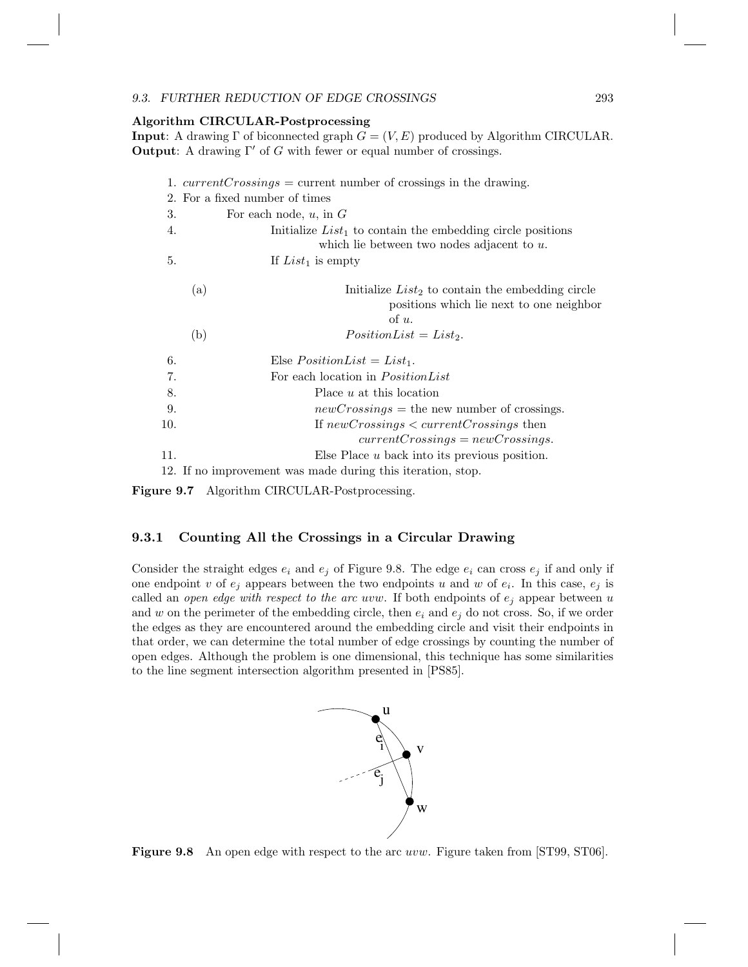#### 9.3. FURTHER REDUCTION OF EDGE CROSSINGS 293

#### Algorithm CIRCULAR-Postprocessing

**Input:** A drawing  $\Gamma$  of biconnected graph  $G = (V, E)$  produced by Algorithm CIRCULAR. **Output:** A drawing  $\Gamma'$  of G with fewer or equal number of crossings.

|     |                                                             | 1. $currentCrossings$ = current number of crossings in the drawing.                                            |  |
|-----|-------------------------------------------------------------|----------------------------------------------------------------------------------------------------------------|--|
|     |                                                             | 2. For a fixed number of times                                                                                 |  |
| 3.  |                                                             | For each node, $u$ , in $G$                                                                                    |  |
| 4.  |                                                             | Initialize $List_1$ to contain the embedding circle positions<br>which lie between two nodes adjacent to $u$ . |  |
| 5.  |                                                             | If $List_1$ is empty                                                                                           |  |
|     | (a)                                                         | Initialize $List_2$ to contain the embedding circle<br>positions which lie next to one neighbor<br>of $u$ .    |  |
|     | (b)                                                         | $PositionList = List_2$ .                                                                                      |  |
| 6.  |                                                             | Else $PositionList = List_1$ .                                                                                 |  |
| 7.  |                                                             | For each location in <i>PositionList</i>                                                                       |  |
| 8.  |                                                             | Place $u$ at this location                                                                                     |  |
| 9.  |                                                             | $newCrossings$ = the new number of crossings.                                                                  |  |
| 10. |                                                             | If $newCrossings < currentCrossings$ then                                                                      |  |
|     |                                                             | $currentCrossings = new Crossings.$                                                                            |  |
| 11. |                                                             | Else Place $u$ back into its previous position.                                                                |  |
|     | 12. If no improvement was made during this iteration, stop. |                                                                                                                |  |

Figure 9.7 Algorithm CIRCULAR-Postprocessing.

#### 9.3.1 Counting All the Crossings in a Circular Drawing

Consider the straight edges  $e_i$  and  $e_j$  of Figure 9.8. The edge  $e_i$  can cross  $e_j$  if and only if one endpoint v of  $e_j$  appears between the two endpoints u and w of  $e_i$ . In this case,  $e_j$  is called an open edge with respect to the arc uvw. If both endpoints of  $e_i$  appear between u and w on the perimeter of the embedding circle, then  $e_i$  and  $e_j$  do not cross. So, if we order the edges as they are encountered around the embedding circle and visit their endpoints in that order, we can determine the total number of edge crossings by counting the number of open edges. Although the problem is one dimensional, this technique has some similarities to the line segment intersection algorithm presented in [PS85].



Figure 9.8 An open edge with respect to the arc uvw. Figure taken from [ST99, ST06].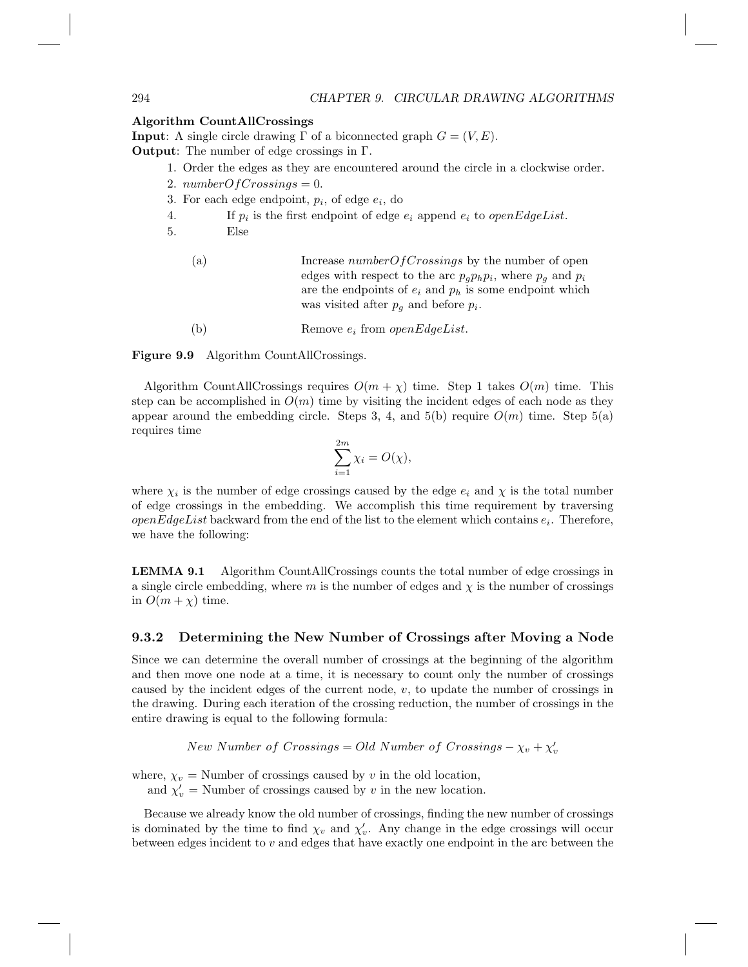#### Algorithm CountAllCrossings

**Input:** A single circle drawing  $\Gamma$  of a biconnected graph  $G = (V, E)$ .

Output: The number of edge crossings in Γ.

- 1. Order the edges as they are encountered around the circle in a clockwise order.
- 2.  $numberOfCrossings = 0$ .
- 3. For each edge endpoint,  $p_i$ , of edge  $e_i$ , do
- 4. If  $p_i$  is the first endpoint of edge  $e_i$  append  $e_i$  to *openEdgeList*.
- 5. Else
	- (a) Increase *numberOfCrossings* by the number of open edges with respect to the arc  $p_g p_h p_i$ , where  $p_g$  and  $p_i$ are the endpoints of  $e_i$  and  $p_h$  is some endpoint which was visited after  $p_g$  and before  $p_i$ .
	- (b) Remove  $e_i$  from  $openEdgeList$ .

Figure 9.9 Algorithm CountAllCrossings.

Algorithm CountAllCrossings requires  $O(m + \chi)$  time. Step 1 takes  $O(m)$  time. This step can be accomplished in  $O(m)$  time by visiting the incident edges of each node as they appear around the embedding circle. Steps 3, 4, and 5(b) require  $O(m)$  time. Step 5(a) requires time

$$
\sum_{i=1}^{2m} \chi_i = O(\chi),
$$

where  $\chi_i$  is the number of edge crossings caused by the edge  $e_i$  and  $\chi$  is the total number of edge crossings in the embedding. We accomplish this time requirement by traversing  $openEdgeList$  backward from the end of the list to the element which contains  $e_i$ . Therefore, we have the following:

LEMMA 9.1 Algorithm CountAllCrossings counts the total number of edge crossings in a single circle embedding, where m is the number of edges and  $\chi$  is the number of crossings in  $O(m + \chi)$  time.

#### 9.3.2 Determining the New Number of Crossings after Moving a Node

Since we can determine the overall number of crossings at the beginning of the algorithm and then move one node at a time, it is necessary to count only the number of crossings caused by the incident edges of the current node, v, to update the number of crossings in the drawing. During each iteration of the crossing reduction, the number of crossings in the entire drawing is equal to the following formula:

 $New Number of Crossings = Old Number of Crossings - \chi_v + \chi'_v$ 

where,  $\chi_v$  = Number of crossings caused by v in the old location,

and  $\chi'_v$  = Number of crossings caused by v in the new location.

Because we already know the old number of crossings, finding the new number of crossings is dominated by the time to find  $\chi_v$  and  $\chi'_v$ . Any change in the edge crossings will occur between edges incident to v and edges that have exactly one endpoint in the arc between the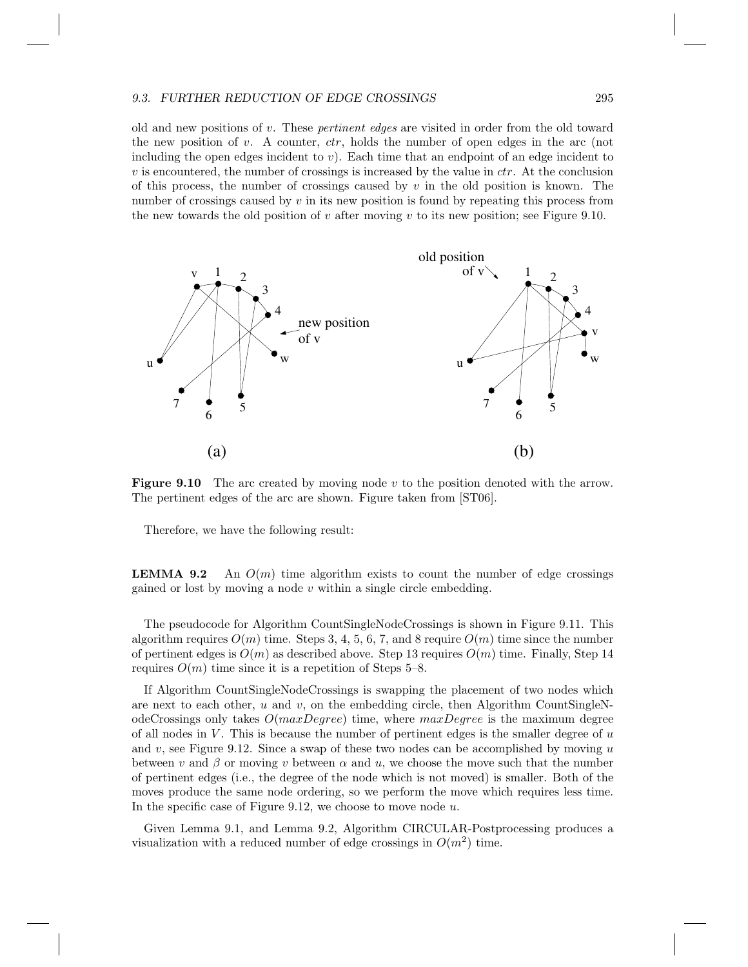#### 9.3. FURTHER REDUCTION OF EDGE CROSSINGS 295

old and new positions of v. These pertinent edges are visited in order from the old toward the new position of  $v$ . A counter,  $ctr$ , holds the number of open edges in the arc (not including the open edges incident to  $v$ ). Each time that an endpoint of an edge incident to  $v$  is encountered, the number of crossings is increased by the value in  $ctr$ . At the conclusion of this process, the number of crossings caused by  $v$  in the old position is known. The number of crossings caused by  $v$  in its new position is found by repeating this process from the new towards the old position of v after moving v to its new position; see Figure 9.10.



**Figure 9.10** The arc created by moving node  $v$  to the position denoted with the arrow. The pertinent edges of the arc are shown. Figure taken from [ST06].

Therefore, we have the following result:

**LEMMA 9.2** An  $O(m)$  time algorithm exists to count the number of edge crossings gained or lost by moving a node  $v$  within a single circle embedding.

The pseudocode for Algorithm CountSingleNodeCrossings is shown in Figure 9.11. This algorithm requires  $O(m)$  time. Steps 3, 4, 5, 6, 7, and 8 require  $O(m)$  time since the number of pertinent edges is  $O(m)$  as described above. Step 13 requires  $O(m)$  time. Finally, Step 14 requires  $O(m)$  time since it is a repetition of Steps 5–8.

If Algorithm CountSingleNodeCrossings is swapping the placement of two nodes which are next to each other,  $u$  and  $v$ , on the embedding circle, then Algorithm CountSingleNodeCrossings only takes  $O(maxDegree)$  time, where  $maxDegree$  is the maximum degree of all nodes in V. This is because the number of pertinent edges is the smaller degree of  $u$ and v, see Figure 9.12. Since a swap of these two nodes can be accomplished by moving  $u$ between v and  $\beta$  or moving v between  $\alpha$  and u, we choose the move such that the number of pertinent edges (i.e., the degree of the node which is not moved) is smaller. Both of the moves produce the same node ordering, so we perform the move which requires less time. In the specific case of Figure 9.12, we choose to move node  $u$ .

Given Lemma 9.1, and Lemma 9.2, Algorithm CIRCULAR-Postprocessing produces a visualization with a reduced number of edge crossings in  $O(m^2)$  time.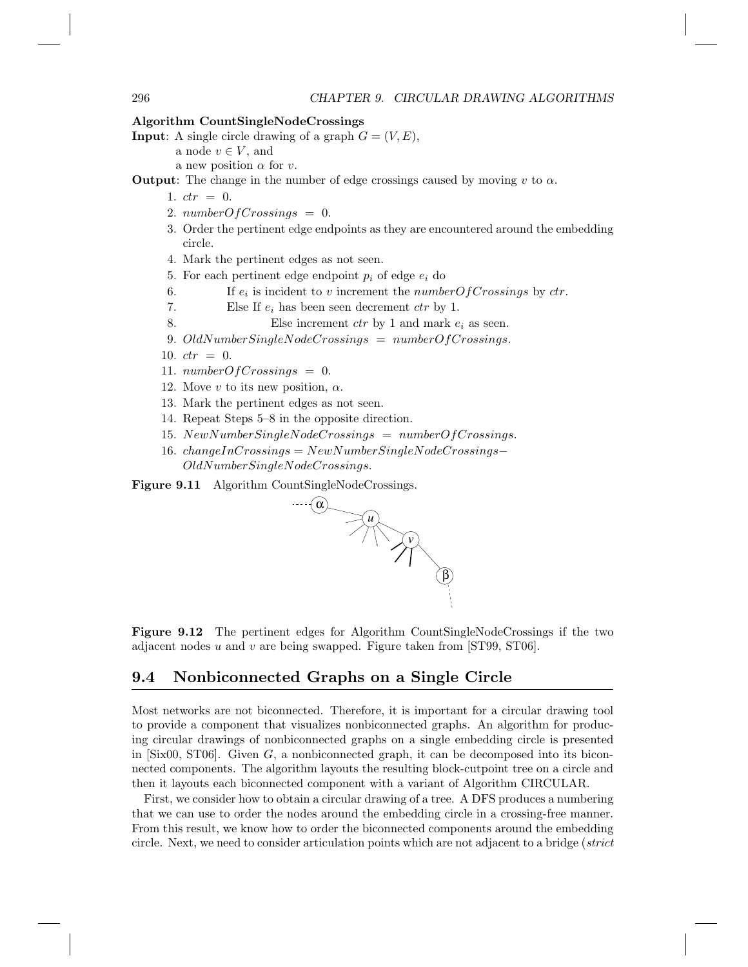#### Algorithm CountSingleNodeCrossings

- **Input:** A single circle drawing of a graph  $G = (V, E)$ ,
	- a node  $v \in V$ , and
	- a new position  $\alpha$  for v.
- **Output:** The change in the number of edge crossings caused by moving v to  $\alpha$ .
	- 1.  $ctr = 0$ .
	- 2.  $numberOfCrossings = 0$ .
	- 3. Order the pertinent edge endpoints as they are encountered around the embedding circle.
	- 4. Mark the pertinent edges as not seen.
	- 5. For each pertinent edge endpoint  $p_i$  of edge  $e_i$  do
	- 6. If  $e_i$  is incident to v increment the number  $OfCrossings$  by  $ctr.$
	- 7. Else If  $e_i$  has been seen decrement  $ctr$  by 1.
	- 8. Else increment  $ctr$  by 1 and mark  $e_i$  as seen.
	- 9. OldNumberSingleNodeCrossings =  $numberOfCrossings$ .
	- 10.  $ctr = 0$ .
	- 11.  $numberOfCrossings = 0$ .
	- 12. Move v to its new position,  $\alpha$ .
	- 13. Mark the pertinent edges as not seen.
	- 14. Repeat Steps 5–8 in the opposite direction.
	- 15. NewNumberSingleNodeCrossings =  $numberOfCrossings$ .
	- 16. changeInCrossings = NewNumberSingleNodeCrossings− OldNumberSingleNodeCrossings.
- Figure 9.11 Algorithm CountSingleNodeCrossings.



Figure 9.12 The pertinent edges for Algorithm CountSingleNodeCrossings if the two adjacent nodes  $u$  and  $v$  are being swapped. Figure taken from [ST99, ST06].

#### 9.4 Nonbiconnected Graphs on a Single Circle

Most networks are not biconnected. Therefore, it is important for a circular drawing tool to provide a component that visualizes nonbiconnected graphs. An algorithm for producing circular drawings of nonbiconnected graphs on a single embedding circle is presented in  $[Six00, ST06]$ . Given G, a nonbiconnected graph, it can be decomposed into its biconnected components. The algorithm layouts the resulting block-cutpoint tree on a circle and then it layouts each biconnected component with a variant of Algorithm CIRCULAR.

First, we consider how to obtain a circular drawing of a tree. A DFS produces a numbering that we can use to order the nodes around the embedding circle in a crossing-free manner. From this result, we know how to order the biconnected components around the embedding circle. Next, we need to consider articulation points which are not adjacent to a bridge (strict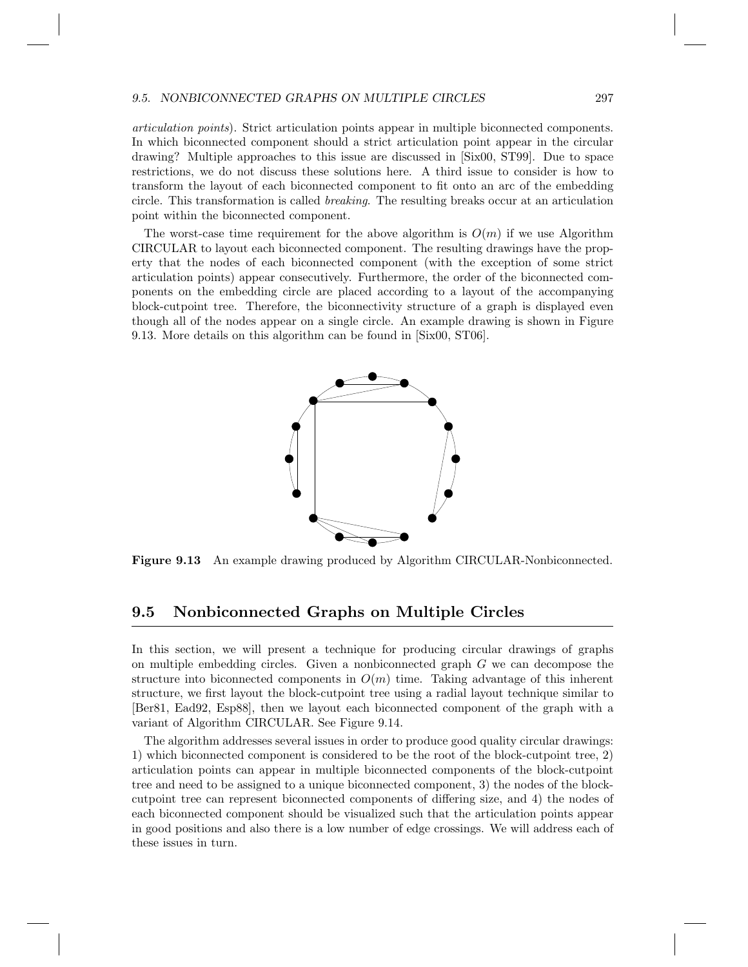#### 9.5. NONBICONNECTED GRAPHS ON MULTIPLE CIRCLES 297

articulation points). Strict articulation points appear in multiple biconnected components. In which biconnected component should a strict articulation point appear in the circular drawing? Multiple approaches to this issue are discussed in [Six00, ST99]. Due to space restrictions, we do not discuss these solutions here. A third issue to consider is how to transform the layout of each biconnected component to fit onto an arc of the embedding circle. This transformation is called breaking. The resulting breaks occur at an articulation point within the biconnected component.

The worst-case time requirement for the above algorithm is  $O(m)$  if we use Algorithm CIRCULAR to layout each biconnected component. The resulting drawings have the property that the nodes of each biconnected component (with the exception of some strict articulation points) appear consecutively. Furthermore, the order of the biconnected components on the embedding circle are placed according to a layout of the accompanying block-cutpoint tree. Therefore, the biconnectivity structure of a graph is displayed even though all of the nodes appear on a single circle. An example drawing is shown in Figure 9.13. More details on this algorithm can be found in [Six00, ST06].



Figure 9.13 An example drawing produced by Algorithm CIRCULAR-Nonbiconnected.

#### 9.5 Nonbiconnected Graphs on Multiple Circles

In this section, we will present a technique for producing circular drawings of graphs on multiple embedding circles. Given a nonbiconnected graph  $G$  we can decompose the structure into biconnected components in  $O(m)$  time. Taking advantage of this inherent structure, we first layout the block-cutpoint tree using a radial layout technique similar to [Ber81, Ead92, Esp88], then we layout each biconnected component of the graph with a variant of Algorithm CIRCULAR. See Figure 9.14.

The algorithm addresses several issues in order to produce good quality circular drawings: 1) which biconnected component is considered to be the root of the block-cutpoint tree, 2) articulation points can appear in multiple biconnected components of the block-cutpoint tree and need to be assigned to a unique biconnected component, 3) the nodes of the blockcutpoint tree can represent biconnected components of differing size, and 4) the nodes of each biconnected component should be visualized such that the articulation points appear in good positions and also there is a low number of edge crossings. We will address each of these issues in turn.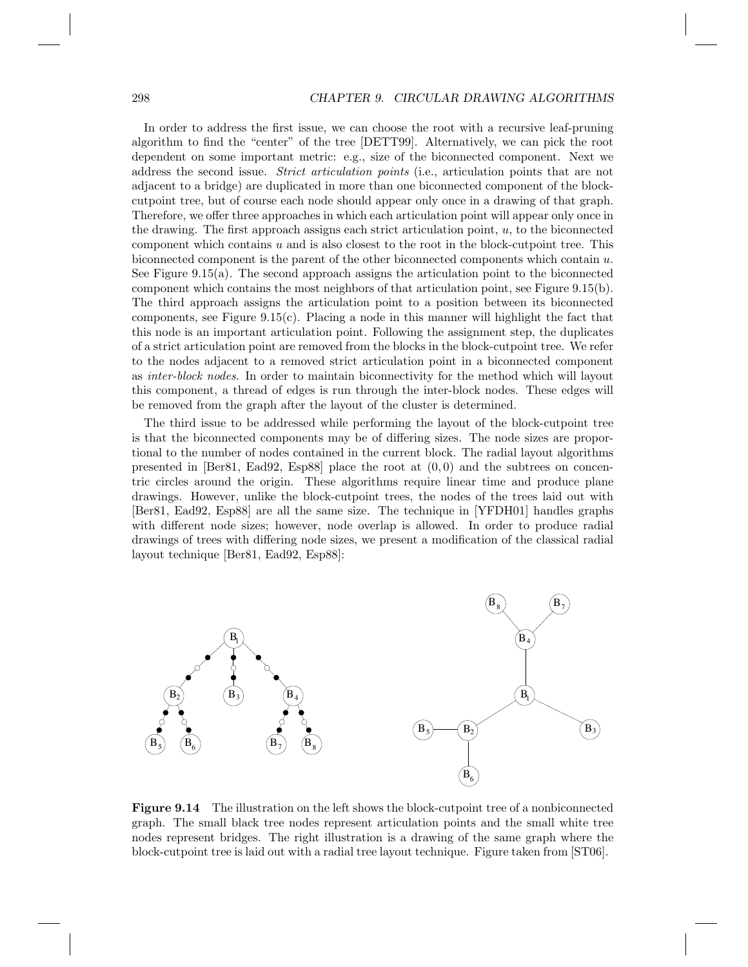In order to address the first issue, we can choose the root with a recursive leaf-pruning algorithm to find the "center" of the tree [DETT99]. Alternatively, we can pick the root dependent on some important metric: e.g., size of the biconnected component. Next we address the second issue. Strict articulation points (i.e., articulation points that are not adjacent to a bridge) are duplicated in more than one biconnected component of the blockcutpoint tree, but of course each node should appear only once in a drawing of that graph. Therefore, we offer three approaches in which each articulation point will appear only once in the drawing. The first approach assigns each strict articulation point,  $u$ , to the biconnected component which contains u and is also closest to the root in the block-cutpoint tree. This biconnected component is the parent of the other biconnected components which contain  $u$ . See Figure 9.15(a). The second approach assigns the articulation point to the biconnected component which contains the most neighbors of that articulation point, see Figure 9.15(b). The third approach assigns the articulation point to a position between its biconnected components, see Figure 9.15(c). Placing a node in this manner will highlight the fact that this node is an important articulation point. Following the assignment step, the duplicates of a strict articulation point are removed from the blocks in the block-cutpoint tree. We refer to the nodes adjacent to a removed strict articulation point in a biconnected component as inter-block nodes. In order to maintain biconnectivity for the method which will layout this component, a thread of edges is run through the inter-block nodes. These edges will be removed from the graph after the layout of the cluster is determined.

The third issue to be addressed while performing the layout of the block-cutpoint tree is that the biconnected components may be of differing sizes. The node sizes are proportional to the number of nodes contained in the current block. The radial layout algorithms presented in  $\left[Ber81, \text{Ead92}, \text{Esp88} \right]$  place the root at  $(0, 0)$  and the subtrees on concentric circles around the origin. These algorithms require linear time and produce plane drawings. However, unlike the block-cutpoint trees, the nodes of the trees laid out with [Ber81, Ead92, Esp88] are all the same size. The technique in [YFDH01] handles graphs with different node sizes; however, node overlap is allowed. In order to produce radial drawings of trees with differing node sizes, we present a modification of the classical radial layout technique [Ber81, Ead92, Esp88]:



Figure 9.14 The illustration on the left shows the block-cutpoint tree of a nonbiconnected graph. The small black tree nodes represent articulation points and the small white tree nodes represent bridges. The right illustration is a drawing of the same graph where the block-cutpoint tree is laid out with a radial tree layout technique. Figure taken from [ST06].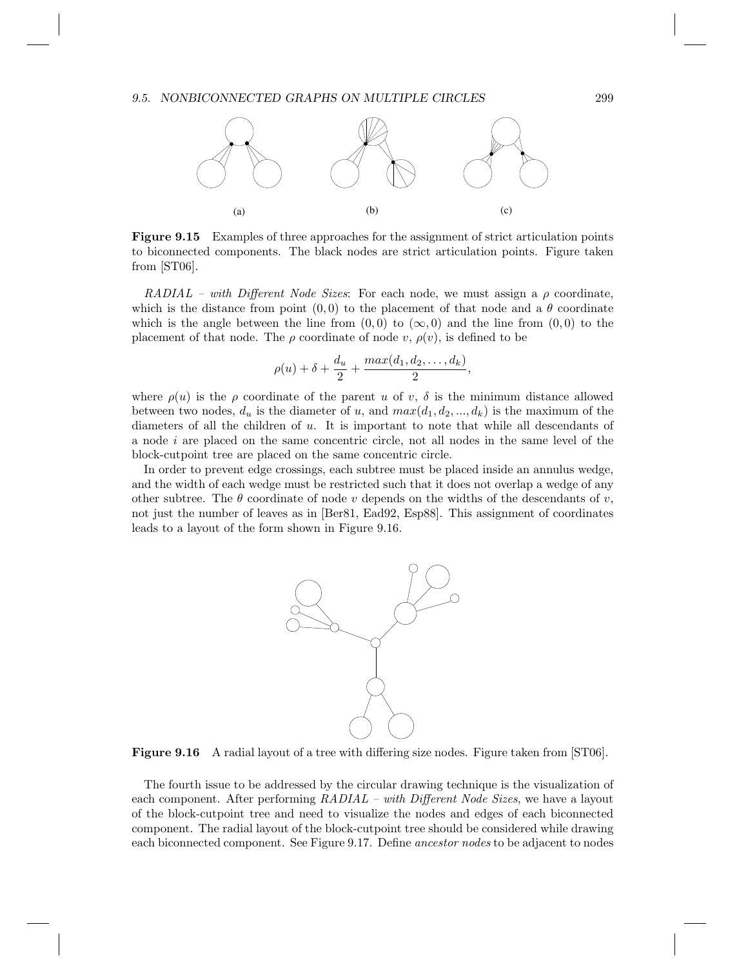#### 9.5. NONBICONNECTED GRAPHS ON MULTIPLE CIRCLES 299



Figure 9.15 Examples of three approaches for the assignment of strict articulation points to biconnected components. The black nodes are strict articulation points. Figure taken from [ST06].

 $RADIAL$  – with Different Node Sizes: For each node, we must assign a  $\rho$  coordinate, which is the distance from point  $(0,0)$  to the placement of that node and a  $\theta$  coordinate which is the angle between the line from  $(0,0)$  to  $(\infty,0)$  and the line from  $(0,0)$  to the placement of that node. The  $\rho$  coordinate of node v,  $\rho(v)$ , is defined to be

$$
\rho(u)+\delta+\frac{d_u}{2}+\frac{max(d_1,d_2,\ldots,d_k)}{2},
$$

where  $\rho(u)$  is the  $\rho$  coordinate of the parent u of v,  $\delta$  is the minimum distance allowed between two nodes,  $d_u$  is the diameter of u, and  $max(d_1, d_2, ..., d_k)$  is the maximum of the diameters of all the children of u. It is important to note that while all descendants of a node i are placed on the same concentric circle, not all nodes in the same level of the block-cutpoint tree are placed on the same concentric circle.

In order to prevent edge crossings, each subtree must be placed inside an annulus wedge, and the width of each wedge must be restricted such that it does not overlap a wedge of any other subtree. The  $\theta$  coordinate of node v depends on the widths of the descendants of v, not just the number of leaves as in [Ber81, Ead92, Esp88]. This assignment of coordinates leads to a layout of the form shown in Figure 9.16.



Figure 9.16 A radial layout of a tree with differing size nodes. Figure taken from [ST06].

The fourth issue to be addressed by the circular drawing technique is the visualization of each component. After performing RADIAL – with Different Node Sizes, we have a layout of the block-cutpoint tree and need to visualize the nodes and edges of each biconnected component. The radial layout of the block-cutpoint tree should be considered while drawing each biconnected component. See Figure 9.17. Define *ancestor nodes* to be adjacent to nodes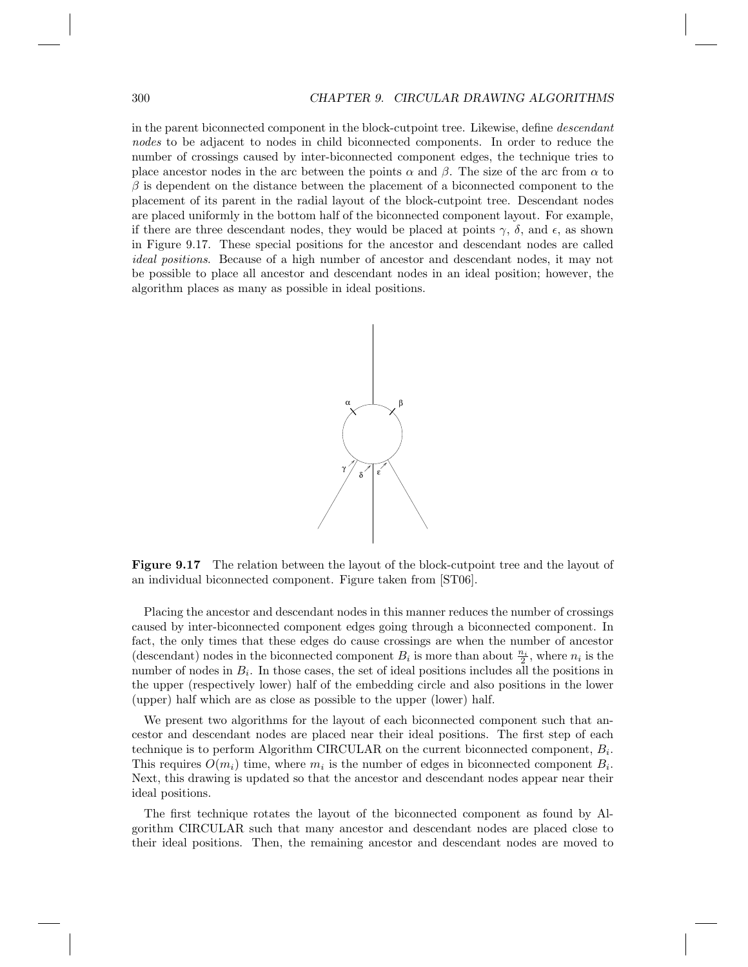in the parent biconnected component in the block-cutpoint tree. Likewise, define descendant nodes to be adjacent to nodes in child biconnected components. In order to reduce the number of crossings caused by inter-biconnected component edges, the technique tries to place ancestor nodes in the arc between the points  $\alpha$  and  $\beta$ . The size of the arc from  $\alpha$  to  $\beta$  is dependent on the distance between the placement of a biconnected component to the placement of its parent in the radial layout of the block-cutpoint tree. Descendant nodes are placed uniformly in the bottom half of the biconnected component layout. For example, if there are three descendant nodes, they would be placed at points  $\gamma$ ,  $\delta$ , and  $\epsilon$ , as shown in Figure 9.17. These special positions for the ancestor and descendant nodes are called ideal positions. Because of a high number of ancestor and descendant nodes, it may not be possible to place all ancestor and descendant nodes in an ideal position; however, the algorithm places as many as possible in ideal positions.



Figure 9.17 The relation between the layout of the block-cutpoint tree and the layout of an individual biconnected component. Figure taken from [ST06].

Placing the ancestor and descendant nodes in this manner reduces the number of crossings caused by inter-biconnected component edges going through a biconnected component. In fact, the only times that these edges do cause crossings are when the number of ancestor (descendant) nodes in the biconnected component  $B_i$  is more than about  $\frac{n_i}{2}$ , where  $n_i$  is the number of nodes in  $B_i$ . In those cases, the set of ideal positions includes all the positions in the upper (respectively lower) half of the embedding circle and also positions in the lower (upper) half which are as close as possible to the upper (lower) half.

We present two algorithms for the layout of each biconnected component such that ancestor and descendant nodes are placed near their ideal positions. The first step of each technique is to perform Algorithm CIRCULAR on the current biconnected component,  $B_i$ . This requires  $O(m_i)$  time, where  $m_i$  is the number of edges in biconnected component  $B_i$ . Next, this drawing is updated so that the ancestor and descendant nodes appear near their ideal positions.

The first technique rotates the layout of the biconnected component as found by Algorithm CIRCULAR such that many ancestor and descendant nodes are placed close to their ideal positions. Then, the remaining ancestor and descendant nodes are moved to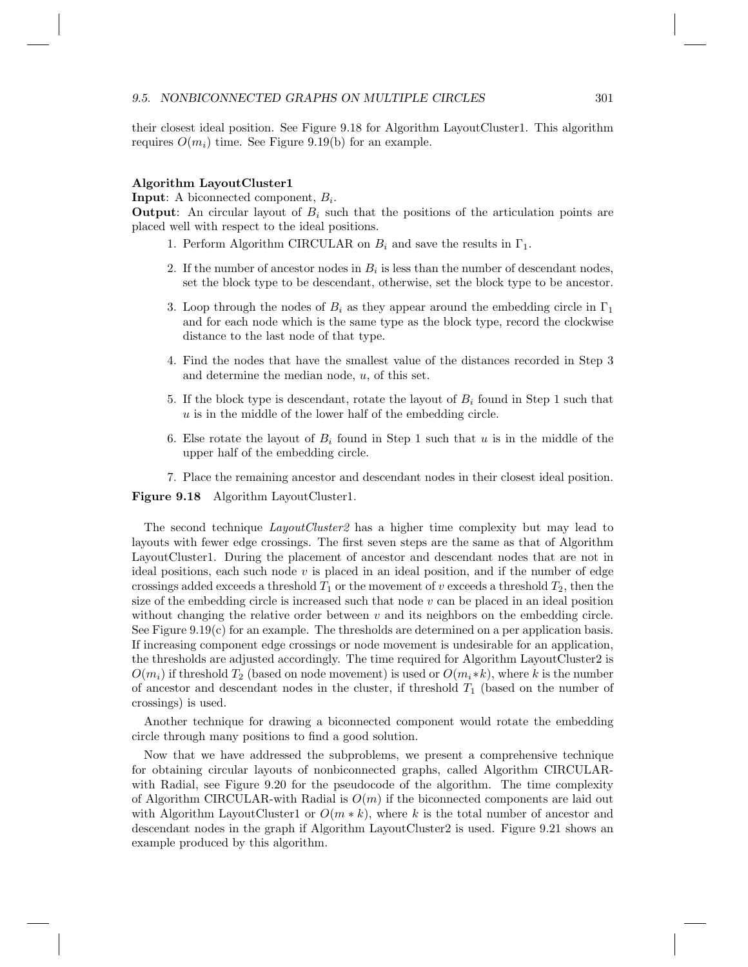their closest ideal position. See Figure 9.18 for Algorithm LayoutCluster1. This algorithm requires  $O(m_i)$  time. See Figure 9.19(b) for an example.

#### Algorithm LayoutCluster1

**Input:** A biconnected component,  $B_i$ .

**Output:** An circular layout of  $B_i$  such that the positions of the articulation points are placed well with respect to the ideal positions.

- 1. Perform Algorithm CIRCULAR on  $B_i$  and save the results in  $\Gamma_1$ .
- 2. If the number of ancestor nodes in  $B_i$  is less than the number of descendant nodes, set the block type to be descendant, otherwise, set the block type to be ancestor.
- 3. Loop through the nodes of  $B_i$  as they appear around the embedding circle in  $\Gamma_1$ and for each node which is the same type as the block type, record the clockwise distance to the last node of that type.
- 4. Find the nodes that have the smallest value of the distances recorded in Step 3 and determine the median node,  $u$ , of this set.
- 5. If the block type is descendant, rotate the layout of  $B_i$  found in Step 1 such that  $u$  is in the middle of the lower half of the embedding circle.
- 6. Else rotate the layout of  $B_i$  found in Step 1 such that u is in the middle of the upper half of the embedding circle.
- 7. Place the remaining ancestor and descendant nodes in their closest ideal position.

Figure 9.18 Algorithm LayoutCluster1.

The second technique LayoutCluster2 has a higher time complexity but may lead to layouts with fewer edge crossings. The first seven steps are the same as that of Algorithm LayoutCluster1. During the placement of ancestor and descendant nodes that are not in ideal positions, each such node  $v$  is placed in an ideal position, and if the number of edge crossings added exceeds a threshold  $T_1$  or the movement of v exceeds a threshold  $T_2$ , then the size of the embedding circle is increased such that node  $v$  can be placed in an ideal position without changing the relative order between  $v$  and its neighbors on the embedding circle. See Figure 9.19(c) for an example. The thresholds are determined on a per application basis. If increasing component edge crossings or node movement is undesirable for an application, the thresholds are adjusted accordingly. The time required for Algorithm LayoutCluster2 is  $O(m_i)$  if threshold  $T_2$  (based on node movement) is used or  $O(m_i*k)$ , where k is the number of ancestor and descendant nodes in the cluster, if threshold  $T_1$  (based on the number of crossings) is used.

Another technique for drawing a biconnected component would rotate the embedding circle through many positions to find a good solution.

Now that we have addressed the subproblems, we present a comprehensive technique for obtaining circular layouts of nonbiconnected graphs, called Algorithm CIRCULARwith Radial, see Figure 9.20 for the pseudocode of the algorithm. The time complexity of Algorithm CIRCULAR-with Radial is  $O(m)$  if the biconnected components are laid out with Algorithm LayoutCluster1 or  $O(m*k)$ , where k is the total number of ancestor and descendant nodes in the graph if Algorithm LayoutCluster2 is used. Figure 9.21 shows an example produced by this algorithm.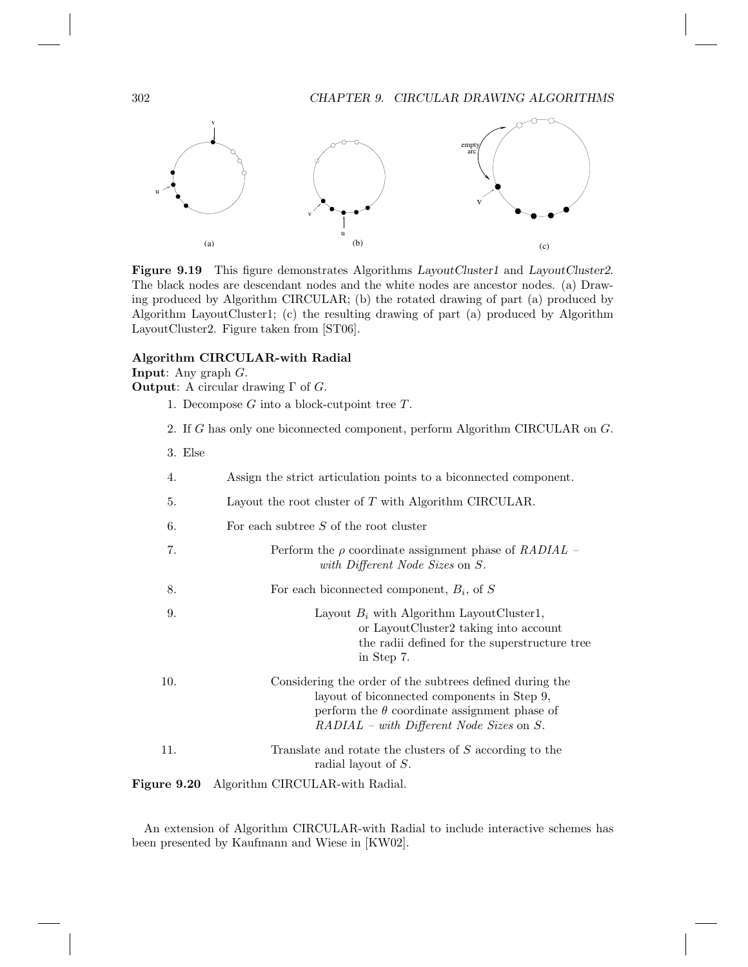

Figure 9.19 This figure demonstrates Algorithms LayoutCluster1 and LayoutCluster2. The black nodes are descendant nodes and the white nodes are ancestor nodes. (a) Drawing produced by Algorithm CIRCULAR; (b) the rotated drawing of part (a) produced by Algorithm LayoutCluster1; (c) the resulting drawing of part (a) produced by Algorithm LayoutCluster2. Figure taken from [ST06].

#### Algorithm CIRCULAR-with Radial

**Input:** Any graph  $G$ .

**Output:** A circular drawing  $\Gamma$  of  $G$ .

- 1. Decompose  $G$  into a block-cutpoint tree  $T$ .
- 2. If G has only one biconnected component, perform Algorithm CIRCULAR on G.
- 3. Else

| 4.  | Assign the strict articulation points to a biconnected component.                                                                                                                                            |
|-----|--------------------------------------------------------------------------------------------------------------------------------------------------------------------------------------------------------------|
| 5.  | Layout the root cluster of $T$ with Algorithm CIRCULAR.                                                                                                                                                      |
| 6.  | For each subtree $S$ of the root cluster                                                                                                                                                                     |
| 7.  | Perform the $\rho$ coordinate assignment phase of $RADIAL$ -<br>with Different Node Sizes on S.                                                                                                              |
| 8.  | For each biconnected component, $B_i$ , of S                                                                                                                                                                 |
| 9.  | Layout $B_i$ with Algorithm Layout Cluster 1,<br>or Layout Cluster 2 taking into account<br>the radii defined for the superstructure tree<br>in Step 7.                                                      |
| 10. | Considering the order of the subtrees defined during the<br>layout of biconnected components in Step 9,<br>perform the $\theta$ coordinate assignment phase of<br>$RADIAL$ – with Different Node Sizes on S. |
| 11. | Translate and rotate the clusters of $S$ according to the<br>radial layout of S.                                                                                                                             |

Figure 9.20 Algorithm CIRCULAR-with Radial.

An extension of Algorithm CIRCULAR-with Radial to include interactive schemes has been presented by Kaufmann and Wiese in [KW02].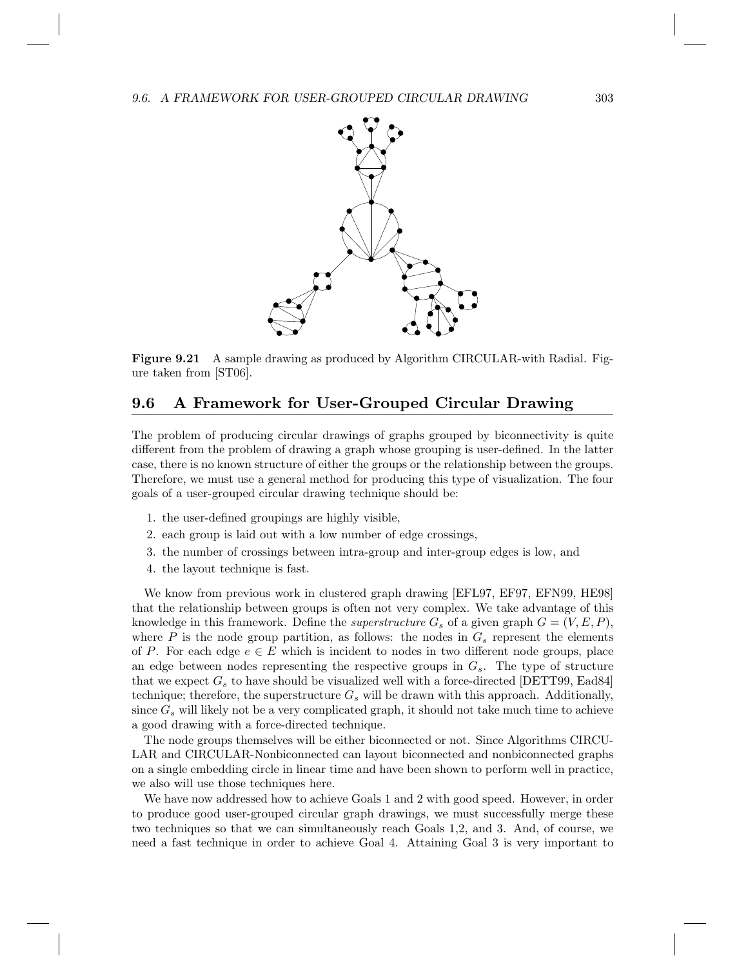

Figure 9.21 A sample drawing as produced by Algorithm CIRCULAR-with Radial. Figure taken from [ST06].

#### 9.6 A Framework for User-Grouped Circular Drawing

The problem of producing circular drawings of graphs grouped by biconnectivity is quite different from the problem of drawing a graph whose grouping is user-defined. In the latter case, there is no known structure of either the groups or the relationship between the groups. Therefore, we must use a general method for producing this type of visualization. The four goals of a user-grouped circular drawing technique should be:

- 1. the user-defined groupings are highly visible,
- 2. each group is laid out with a low number of edge crossings,
- 3. the number of crossings between intra-group and inter-group edges is low, and
- 4. the layout technique is fast.

We know from previous work in clustered graph drawing [EFL97, EF97, EFN99, HE98] that the relationship between groups is often not very complex. We take advantage of this knowledge in this framework. Define the *superstructure*  $G_s$  of a given graph  $G = (V, E, P)$ , where P is the node group partition, as follows: the nodes in  $G_s$  represent the elements of P. For each edge  $e \in E$  which is incident to nodes in two different node groups, place an edge between nodes representing the respective groups in  $G_s$ . The type of structure that we expect  $G_s$  to have should be visualized well with a force-directed [DETT99, Ead84] technique; therefore, the superstructure  $G_s$  will be drawn with this approach. Additionally, since  $G_s$  will likely not be a very complicated graph, it should not take much time to achieve a good drawing with a force-directed technique.

The node groups themselves will be either biconnected or not. Since Algorithms CIRCU-LAR and CIRCULAR-Nonbiconnected can layout biconnected and nonbiconnected graphs on a single embedding circle in linear time and have been shown to perform well in practice, we also will use those techniques here.

We have now addressed how to achieve Goals 1 and 2 with good speed. However, in order to produce good user-grouped circular graph drawings, we must successfully merge these two techniques so that we can simultaneously reach Goals 1,2, and 3. And, of course, we need a fast technique in order to achieve Goal 4. Attaining Goal 3 is very important to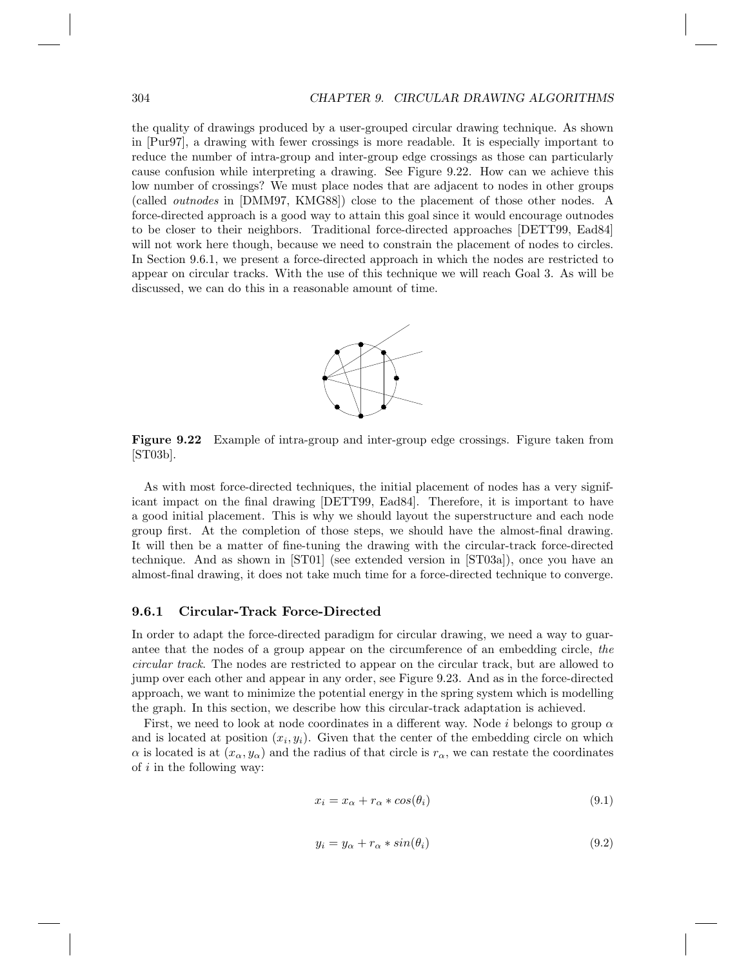the quality of drawings produced by a user-grouped circular drawing technique. As shown in [Pur97], a drawing with fewer crossings is more readable. It is especially important to reduce the number of intra-group and inter-group edge crossings as those can particularly cause confusion while interpreting a drawing. See Figure 9.22. How can we achieve this low number of crossings? We must place nodes that are adjacent to nodes in other groups (called outnodes in [DMM97, KMG88]) close to the placement of those other nodes. A force-directed approach is a good way to attain this goal since it would encourage outnodes to be closer to their neighbors. Traditional force-directed approaches [DETT99, Ead84] will not work here though, because we need to constrain the placement of nodes to circles. In Section 9.6.1, we present a force-directed approach in which the nodes are restricted to appear on circular tracks. With the use of this technique we will reach Goal 3. As will be discussed, we can do this in a reasonable amount of time.



Figure 9.22 Example of intra-group and inter-group edge crossings. Figure taken from [ST03b].

As with most force-directed techniques, the initial placement of nodes has a very significant impact on the final drawing [DETT99, Ead84]. Therefore, it is important to have a good initial placement. This is why we should layout the superstructure and each node group first. At the completion of those steps, we should have the almost-final drawing. It will then be a matter of fine-tuning the drawing with the circular-track force-directed technique. And as shown in [ST01] (see extended version in [ST03a]), once you have an almost-final drawing, it does not take much time for a force-directed technique to converge.

#### 9.6.1 Circular-Track Force-Directed

In order to adapt the force-directed paradigm for circular drawing, we need a way to guarantee that the nodes of a group appear on the circumference of an embedding circle, the circular track. The nodes are restricted to appear on the circular track, but are allowed to jump over each other and appear in any order, see Figure 9.23. And as in the force-directed approach, we want to minimize the potential energy in the spring system which is modelling the graph. In this section, we describe how this circular-track adaptation is achieved.

First, we need to look at node coordinates in a different way. Node i belongs to group  $\alpha$ and is located at position  $(x_i, y_i)$ . Given that the center of the embedding circle on which  $\alpha$  is located is at  $(x_{\alpha}, y_{\alpha})$  and the radius of that circle is  $r_{\alpha}$ , we can restate the coordinates of  $i$  in the following way:

$$
x_i = x_\alpha + r_\alpha * \cos(\theta_i) \tag{9.1}
$$

$$
y_i = y_\alpha + r_\alpha * \sin(\theta_i) \tag{9.2}
$$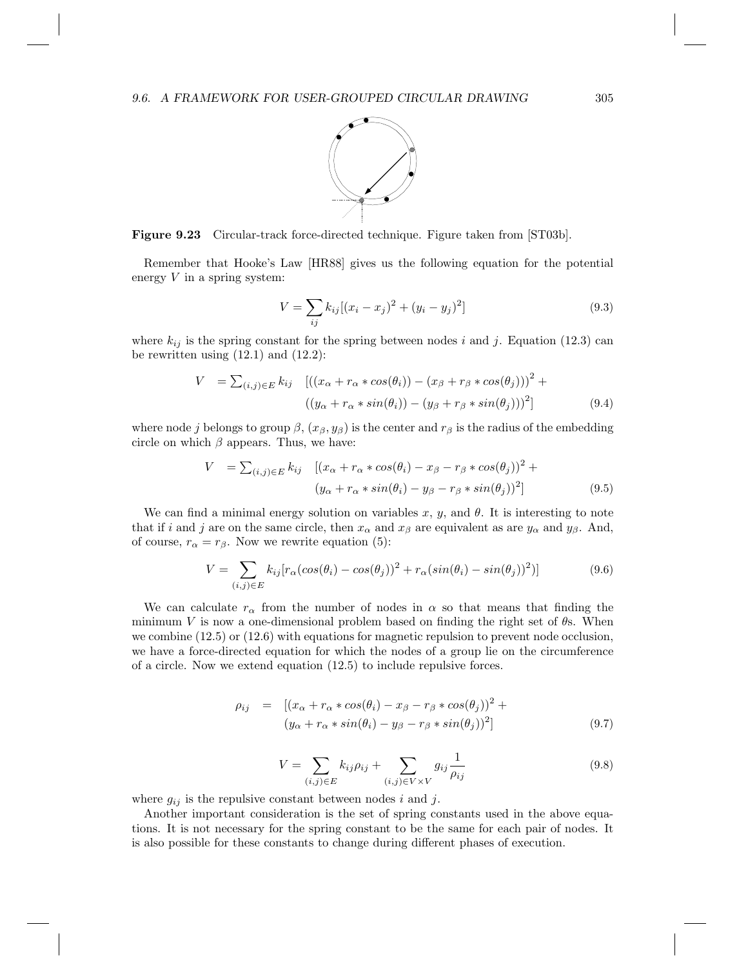

Figure 9.23 Circular-track force-directed technique. Figure taken from [ST03b].

Remember that Hooke's Law [HR88] gives us the following equation for the potential energy  $V$  in a spring system:

$$
V = \sum_{ij} k_{ij} [(x_i - x_j)^2 + (y_i - y_j)^2]
$$
\n(9.3)

where  $k_{ij}$  is the spring constant for the spring between nodes i and j. Equation (12.3) can be rewritten using  $(12.1)$  and  $(12.2)$ :

$$
V = \sum_{(i,j)\in E} k_{ij} \quad [((x_{\alpha} + r_{\alpha} * cos(\theta_i)) - (x_{\beta} + r_{\beta} * cos(\theta_j)))^{2} +
$$

$$
((y_{\alpha} + r_{\alpha} * sin(\theta_i)) - (y_{\beta} + r_{\beta} * sin(\theta_j)))^{2}]
$$
(9.4)

where node j belongs to group  $\beta$ ,  $(x_{\beta}, y_{\beta})$  is the center and  $r_{\beta}$  is the radius of the embedding circle on which  $\beta$  appears. Thus, we have:

$$
V = \sum_{(i,j)\in E} k_{ij} \quad [(x_{\alpha} + r_{\alpha} * cos(\theta_i) - x_{\beta} - r_{\beta} * cos(\theta_j))^2 + (y_{\alpha} + r_{\alpha} * sin(\theta_i) - y_{\beta} - r_{\beta} * sin(\theta_j))^2]
$$
(9.5)

We can find a minimal energy solution on variables  $x, y$ , and  $\theta$ . It is interesting to note that if i and j are on the same circle, then  $x_{\alpha}$  and  $x_{\beta}$  are equivalent as are  $y_{\alpha}$  and  $y_{\beta}$ . And, of course,  $r_{\alpha} = r_{\beta}$ . Now we rewrite equation (5):

$$
V = \sum_{(i,j)\in E} k_{ij} [r_\alpha(\cos(\theta_i) - \cos(\theta_j))^2 + r_\alpha(\sin(\theta_i) - \sin(\theta_j))^2)] \tag{9.6}
$$

We can calculate  $r_{\alpha}$  from the number of nodes in  $\alpha$  so that means that finding the minimum V is now a one-dimensional problem based on finding the right set of  $\theta$ s. When we combine  $(12.5)$  or  $(12.6)$  with equations for magnetic repulsion to prevent node occlusion, we have a force-directed equation for which the nodes of a group lie on the circumference of a circle. Now we extend equation (12.5) to include repulsive forces.

$$
\rho_{ij} = \left[ (x_{\alpha} + r_{\alpha} * cos(\theta_i) - x_{\beta} - r_{\beta} * cos(\theta_j))^2 + (y_{\alpha} + r_{\alpha} * sin(\theta_i) - y_{\beta} - r_{\beta} * sin(\theta_j))^2 \right]
$$
\n(9.7)

$$
V = \sum_{(i,j)\in E} k_{ij}\rho_{ij} + \sum_{(i,j)\in V\times V} g_{ij} \frac{1}{\rho_{ij}}
$$
(9.8)

where  $g_{ij}$  is the repulsive constant between nodes i and j.

Another important consideration is the set of spring constants used in the above equations. It is not necessary for the spring constant to be the same for each pair of nodes. It is also possible for these constants to change during different phases of execution.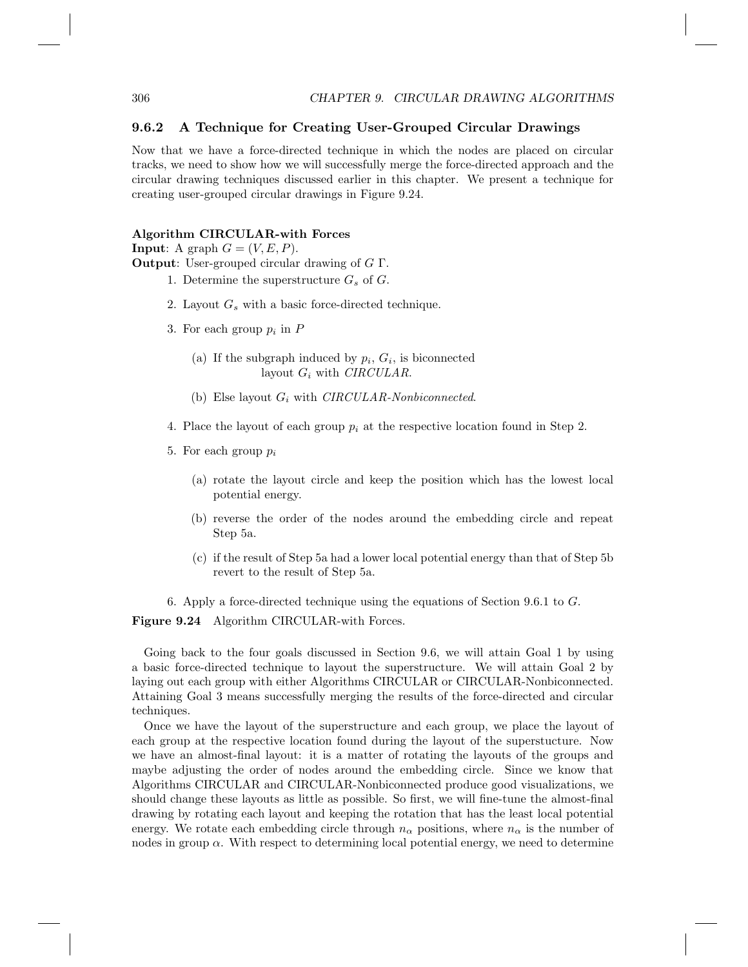#### 9.6.2 A Technique for Creating User-Grouped Circular Drawings

Now that we have a force-directed technique in which the nodes are placed on circular tracks, we need to show how we will successfully merge the force-directed approach and the circular drawing techniques discussed earlier in this chapter. We present a technique for creating user-grouped circular drawings in Figure 9.24.

#### Algorithm CIRCULAR-with Forces

**Input:** A graph  $G = (V, E, P)$ . **Output:** User-grouped circular drawing of  $G \Gamma$ .

- 1. Determine the superstructure  $G_s$  of  $G_s$ .
- 2. Layout  $G_s$  with a basic force-directed technique.
- 3. For each group  $p_i$  in  $P$ 
	- (a) If the subgraph induced by  $p_i$ ,  $G_i$ , is biconnected layout  $G_i$  with CIRCULAR.
	- (b) Else layout  $G_i$  with CIRCULAR-Nonbiconnected.
- 4. Place the layout of each group  $p_i$  at the respective location found in Step 2.
- 5. For each group  $p_i$ 
	- (a) rotate the layout circle and keep the position which has the lowest local potential energy.
	- (b) reverse the order of the nodes around the embedding circle and repeat Step 5a.
	- (c) if the result of Step 5a had a lower local potential energy than that of Step 5b revert to the result of Step 5a.
- 6. Apply a force-directed technique using the equations of Section 9.6.1 to G.

Figure 9.24 Algorithm CIRCULAR-with Forces.

Going back to the four goals discussed in Section 9.6, we will attain Goal 1 by using a basic force-directed technique to layout the superstructure. We will attain Goal 2 by laying out each group with either Algorithms CIRCULAR or CIRCULAR-Nonbiconnected. Attaining Goal 3 means successfully merging the results of the force-directed and circular techniques.

Once we have the layout of the superstructure and each group, we place the layout of each group at the respective location found during the layout of the superstucture. Now we have an almost-final layout: it is a matter of rotating the layouts of the groups and maybe adjusting the order of nodes around the embedding circle. Since we know that Algorithms CIRCULAR and CIRCULAR-Nonbiconnected produce good visualizations, we should change these layouts as little as possible. So first, we will fine-tune the almost-final drawing by rotating each layout and keeping the rotation that has the least local potential energy. We rotate each embedding circle through  $n_{\alpha}$  positions, where  $n_{\alpha}$  is the number of nodes in group  $\alpha$ . With respect to determining local potential energy, we need to determine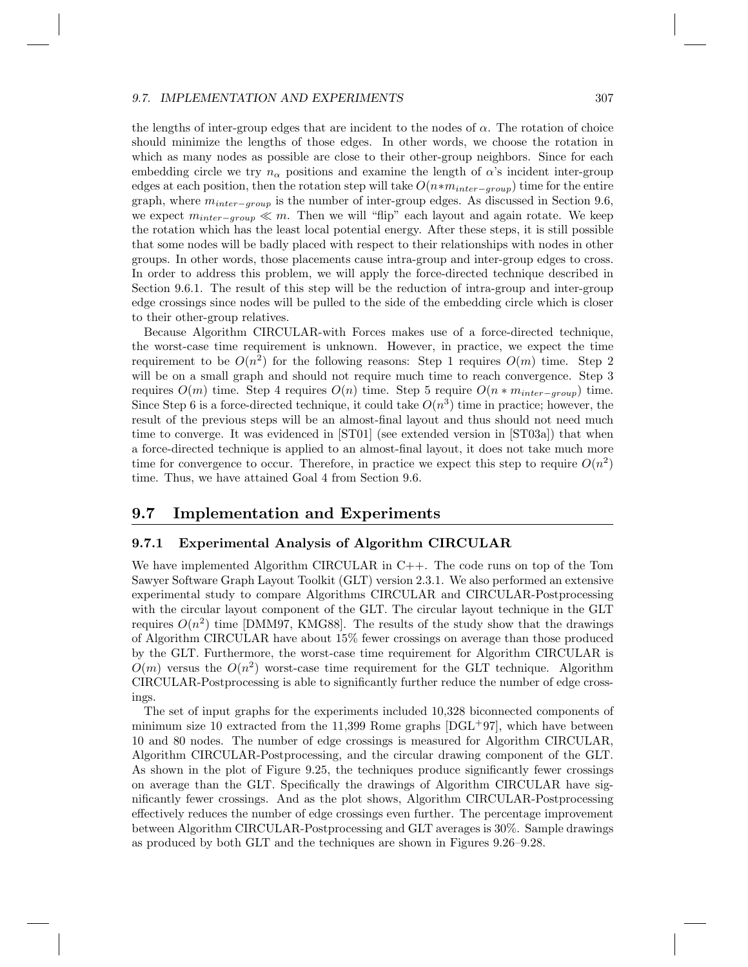#### 9.7. IMPLEMENTATION AND EXPERIMENTS 307

the lengths of inter-group edges that are incident to the nodes of  $\alpha$ . The rotation of choice should minimize the lengths of those edges. In other words, we choose the rotation in which as many nodes as possible are close to their other-group neighbors. Since for each embedding circle we try  $n_{\alpha}$  positions and examine the length of  $\alpha$ 's incident inter-group edges at each position, then the rotation step will take  $O(n*m_{inter-group})$  time for the entire graph, where  $m_{inter-group}$  is the number of inter-group edges. As discussed in Section 9.6, we expect  $m_{inter-group} \ll m$ . Then we will "flip" each layout and again rotate. We keep the rotation which has the least local potential energy. After these steps, it is still possible that some nodes will be badly placed with respect to their relationships with nodes in other groups. In other words, those placements cause intra-group and inter-group edges to cross. In order to address this problem, we will apply the force-directed technique described in Section 9.6.1. The result of this step will be the reduction of intra-group and inter-group edge crossings since nodes will be pulled to the side of the embedding circle which is closer to their other-group relatives.

Because Algorithm CIRCULAR-with Forces makes use of a force-directed technique, the worst-case time requirement is unknown. However, in practice, we expect the time requirement to be  $O(n^2)$  for the following reasons: Step 1 requires  $O(m)$  time. Step 2 will be on a small graph and should not require much time to reach convergence. Step 3 requires  $O(m)$  time. Step 4 requires  $O(n)$  time. Step 5 require  $O(n * m_{inter-group})$  time. Since Step 6 is a force-directed technique, it could take  $O(n^3)$  time in practice; however, the result of the previous steps will be an almost-final layout and thus should not need much time to converge. It was evidenced in [ST01] (see extended version in [ST03a]) that when a force-directed technique is applied to an almost-final layout, it does not take much more time for convergence to occur. Therefore, in practice we expect this step to require  $O(n^2)$ time. Thus, we have attained Goal 4 from Section 9.6.

#### 9.7 Implementation and Experiments

#### 9.7.1 Experimental Analysis of Algorithm CIRCULAR

We have implemented Algorithm CIRCULAR in C++. The code runs on top of the Tom Sawyer Software Graph Layout Toolkit (GLT) version 2.3.1. We also performed an extensive experimental study to compare Algorithms CIRCULAR and CIRCULAR-Postprocessing with the circular layout component of the GLT. The circular layout technique in the GLT requires  $O(n^2)$  time [DMM97, KMG88]. The results of the study show that the drawings of Algorithm CIRCULAR have about 15% fewer crossings on average than those produced by the GLT. Furthermore, the worst-case time requirement for Algorithm CIRCULAR is  $O(m)$  versus the  $O(n^2)$  worst-case time requirement for the GLT technique. Algorithm CIRCULAR-Postprocessing is able to significantly further reduce the number of edge crossings.

The set of input graphs for the experiments included 10,328 biconnected components of minimum size 10 extracted from the 11,399 Rome graphs  $[DGL^{+}97]$ , which have between 10 and 80 nodes. The number of edge crossings is measured for Algorithm CIRCULAR, Algorithm CIRCULAR-Postprocessing, and the circular drawing component of the GLT. As shown in the plot of Figure 9.25, the techniques produce significantly fewer crossings on average than the GLT. Specifically the drawings of Algorithm CIRCULAR have significantly fewer crossings. And as the plot shows, Algorithm CIRCULAR-Postprocessing effectively reduces the number of edge crossings even further. The percentage improvement between Algorithm CIRCULAR-Postprocessing and GLT averages is 30%. Sample drawings as produced by both GLT and the techniques are shown in Figures 9.26–9.28.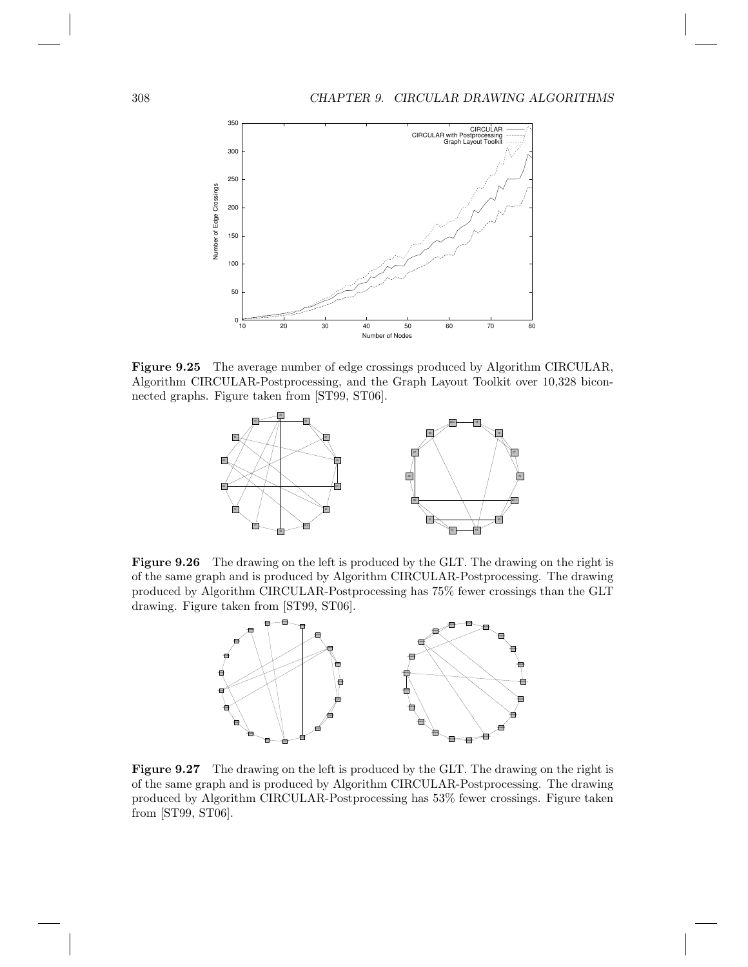

Figure 9.25 The average number of edge crossings produced by Algorithm CIRCULAR, Algorithm CIRCULAR-Postprocessing, and the Graph Layout Toolkit over 10,328 biconnected graphs. Figure taken from [ST99, ST06].



Figure 9.26 The drawing on the left is produced by the GLT. The drawing on the right is of the same graph and is produced by Algorithm CIRCULAR-Postprocessing. The drawing produced by Algorithm CIRCULAR-Postprocessing has 75% fewer crossings than the GLT drawing. Figure taken from [ST99, ST06].



Figure 9.27 The drawing on the left is produced by the GLT. The drawing on the right is of the same graph and is produced by Algorithm CIRCULAR-Postprocessing. The drawing produced by Algorithm CIRCULAR-Postprocessing has 53% fewer crossings. Figure taken from [ST99, ST06].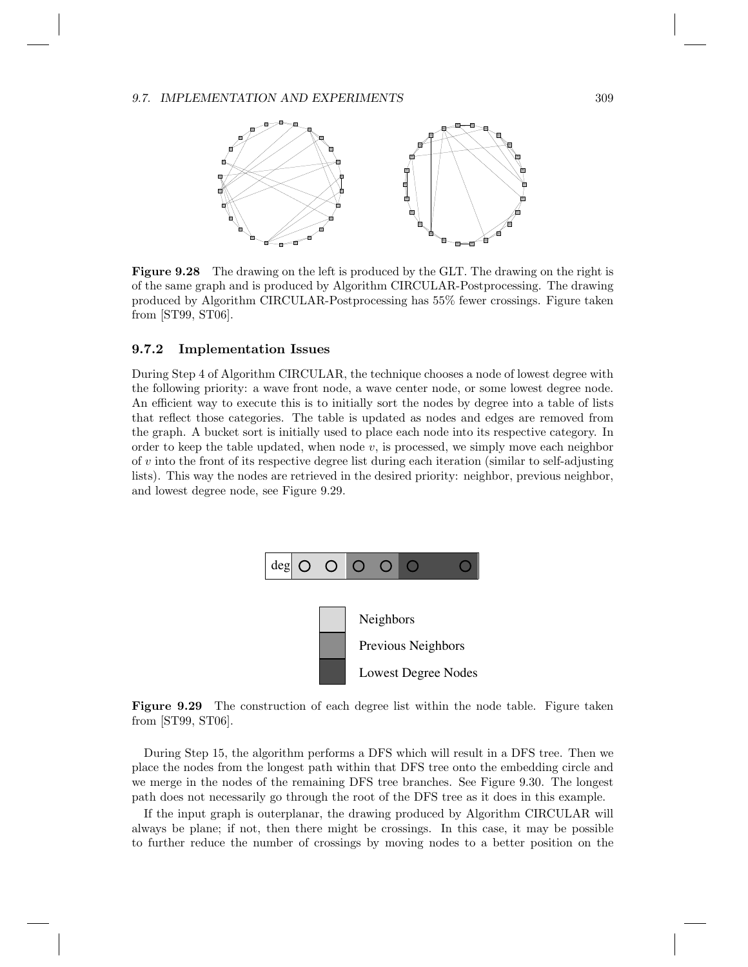

**Figure 9.28** The drawing on the left is produced by the GLT. The drawing on the right is of the same graph and is produced by Algorithm CIRCULAR-Postprocessing. The drawing produced by Algorithm CIRCULAR-Postprocessing has 55% fewer crossings. Figure taken from [ST99, ST06].

#### 9.7.2 Implementation Issues

During Step 4 of Algorithm CIRCULAR, the technique chooses a node of lowest degree with the following priority: a wave front node, a wave center node, or some lowest degree node. An efficient way to execute this is to initially sort the nodes by degree into a table of lists that reflect those categories. The table is updated as nodes and edges are removed from the graph. A bucket sort is initially used to place each node into its respective category. In order to keep the table updated, when node  $v$ , is processed, we simply move each neighbor of  $v$  into the front of its respective degree list during each iteration (similar to self-adjusting lists). This way the nodes are retrieved in the desired priority: neighbor, previous neighbor, and lowest degree node, see Figure 9.29.





During Step 15, the algorithm performs a DFS which will result in a DFS tree. Then we place the nodes from the longest path within that DFS tree onto the embedding circle and we merge in the nodes of the remaining DFS tree branches. See Figure 9.30. The longest path does not necessarily go through the root of the DFS tree as it does in this example.

If the input graph is outerplanar, the drawing produced by Algorithm CIRCULAR will always be plane; if not, then there might be crossings. In this case, it may be possible to further reduce the number of crossings by moving nodes to a better position on the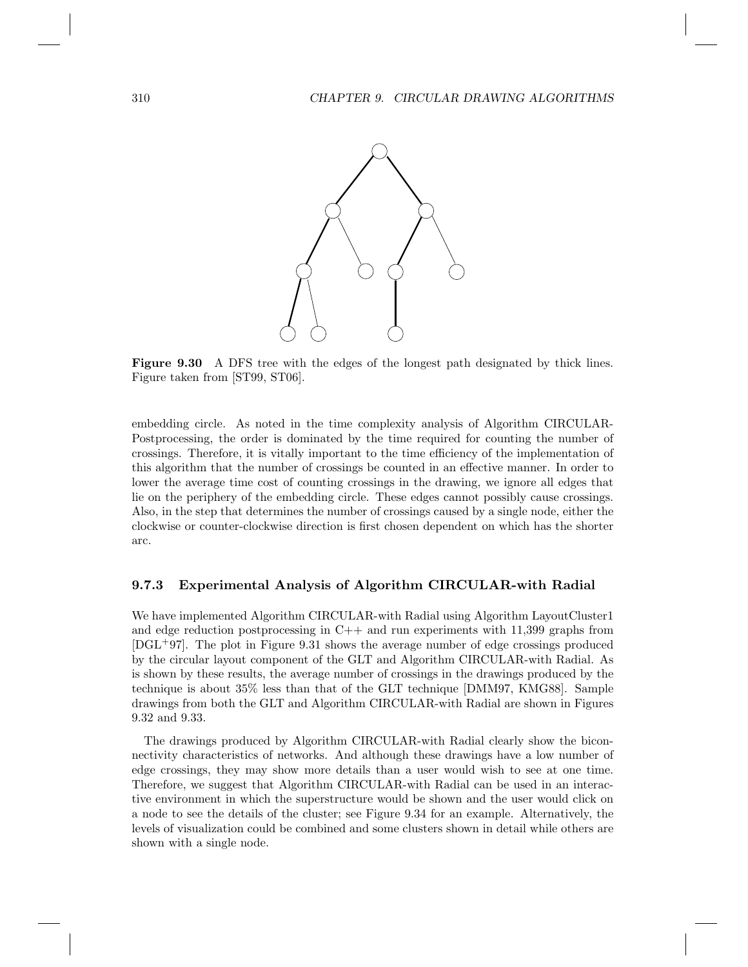

Figure 9.30 A DFS tree with the edges of the longest path designated by thick lines. Figure taken from [ST99, ST06].

embedding circle. As noted in the time complexity analysis of Algorithm CIRCULAR-Postprocessing, the order is dominated by the time required for counting the number of crossings. Therefore, it is vitally important to the time efficiency of the implementation of this algorithm that the number of crossings be counted in an effective manner. In order to lower the average time cost of counting crossings in the drawing, we ignore all edges that lie on the periphery of the embedding circle. These edges cannot possibly cause crossings. Also, in the step that determines the number of crossings caused by a single node, either the clockwise or counter-clockwise direction is first chosen dependent on which has the shorter arc.

#### 9.7.3 Experimental Analysis of Algorithm CIRCULAR-with Radial

We have implemented Algorithm CIRCULAR-with Radial using Algorithm LayoutCluster1 and edge reduction postprocessing in  $C++$  and run experiments with 11,399 graphs from [DGL<sup>+</sup>97]. The plot in Figure 9.31 shows the average number of edge crossings produced by the circular layout component of the GLT and Algorithm CIRCULAR-with Radial. As is shown by these results, the average number of crossings in the drawings produced by the technique is about 35% less than that of the GLT technique [DMM97, KMG88]. Sample drawings from both the GLT and Algorithm CIRCULAR-with Radial are shown in Figures 9.32 and 9.33.

The drawings produced by Algorithm CIRCULAR-with Radial clearly show the biconnectivity characteristics of networks. And although these drawings have a low number of edge crossings, they may show more details than a user would wish to see at one time. Therefore, we suggest that Algorithm CIRCULAR-with Radial can be used in an interactive environment in which the superstructure would be shown and the user would click on a node to see the details of the cluster; see Figure 9.34 for an example. Alternatively, the levels of visualization could be combined and some clusters shown in detail while others are shown with a single node.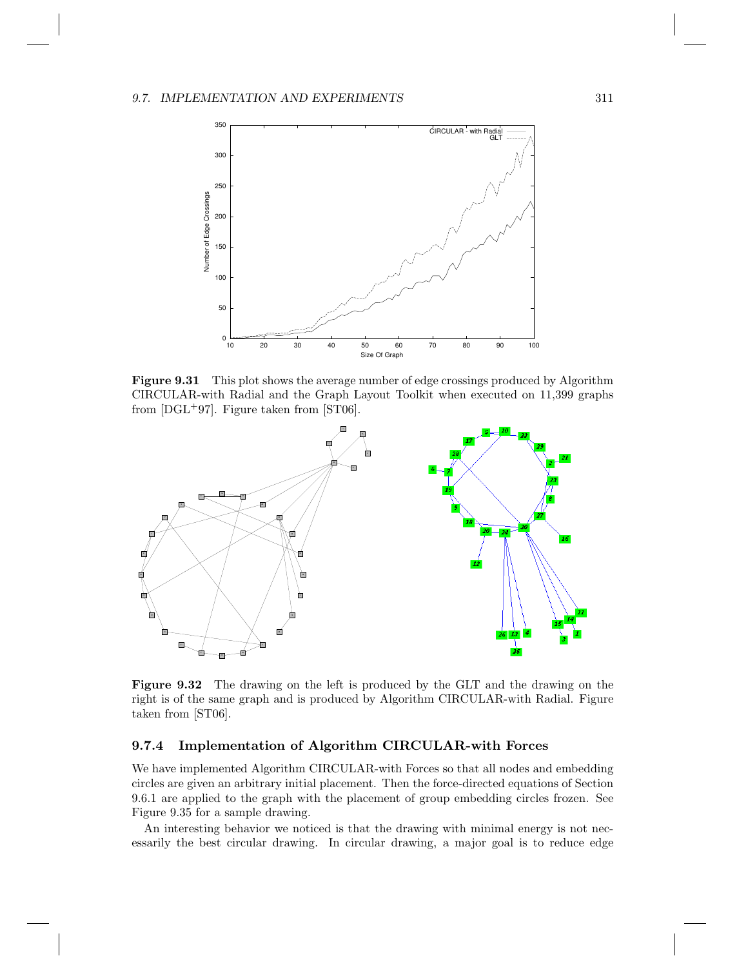

Figure 9.31 This plot shows the average number of edge crossings produced by Algorithm CIRCULAR-with Radial and the Graph Layout Toolkit when executed on 11,399 graphs from  $[DGL+97]$ . Figure taken from  $[ST06]$ .



Figure 9.32 The drawing on the left is produced by the GLT and the drawing on the right is of the same graph and is produced by Algorithm CIRCULAR-with Radial. Figure taken from [ST06].

#### 9.7.4 Implementation of Algorithm CIRCULAR-with Forces

We have implemented Algorithm CIRCULAR-with Forces so that all nodes and embedding circles are given an arbitrary initial placement. Then the force-directed equations of Section 9.6.1 are applied to the graph with the placement of group embedding circles frozen. See Figure 9.35 for a sample drawing.

An interesting behavior we noticed is that the drawing with minimal energy is not necessarily the best circular drawing. In circular drawing, a major goal is to reduce edge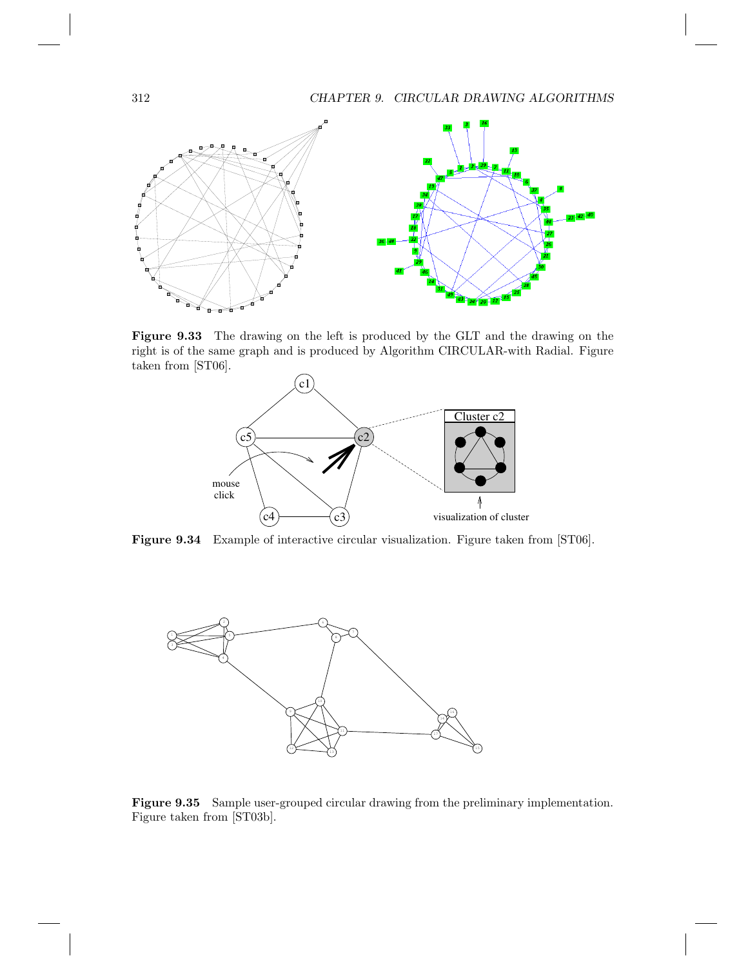312 CHAPTER 9. CIRCULAR DRAWING ALGORITHMS



Figure 9.33 The drawing on the left is produced by the GLT and the drawing on the right is of the same graph and is produced by Algorithm CIRCULAR-with Radial. Figure taken from [ST06].



Figure 9.34 Example of interactive circular visualization. Figure taken from [ST06].



Figure 9.35 Sample user-grouped circular drawing from the preliminary implementation. Figure taken from [ST03b].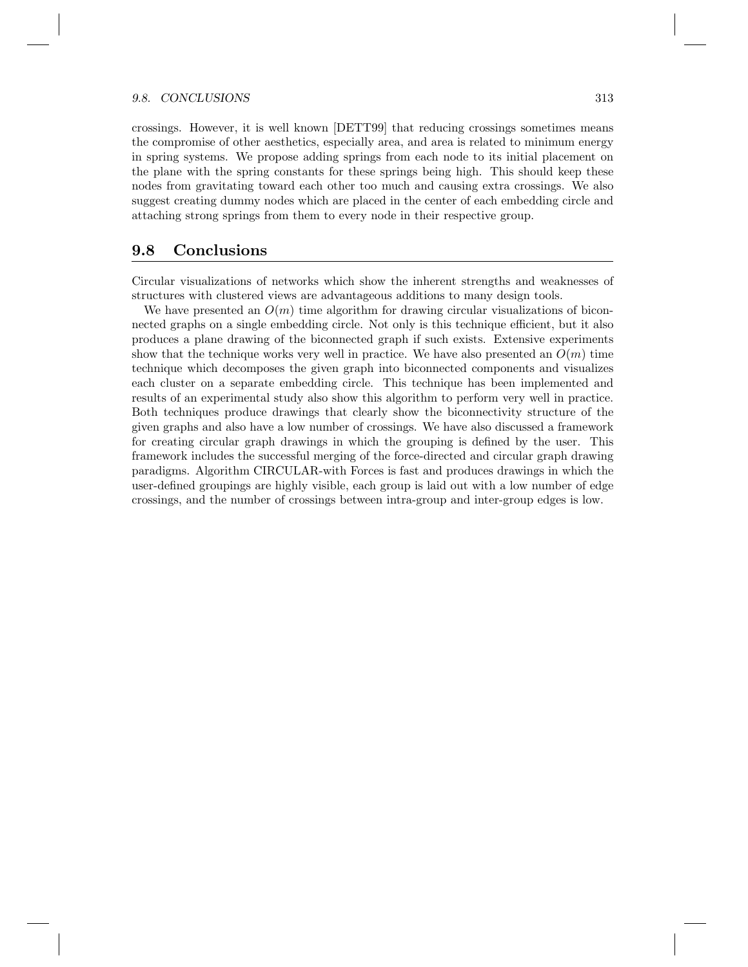#### 9.8. CONCLUSIONS 313

crossings. However, it is well known [DETT99] that reducing crossings sometimes means the compromise of other aesthetics, especially area, and area is related to minimum energy in spring systems. We propose adding springs from each node to its initial placement on the plane with the spring constants for these springs being high. This should keep these nodes from gravitating toward each other too much and causing extra crossings. We also suggest creating dummy nodes which are placed in the center of each embedding circle and attaching strong springs from them to every node in their respective group.

#### 9.8 Conclusions

Circular visualizations of networks which show the inherent strengths and weaknesses of structures with clustered views are advantageous additions to many design tools.

We have presented an  $O(m)$  time algorithm for drawing circular visualizations of biconnected graphs on a single embedding circle. Not only is this technique efficient, but it also produces a plane drawing of the biconnected graph if such exists. Extensive experiments show that the technique works very well in practice. We have also presented an  $O(m)$  time technique which decomposes the given graph into biconnected components and visualizes each cluster on a separate embedding circle. This technique has been implemented and results of an experimental study also show this algorithm to perform very well in practice. Both techniques produce drawings that clearly show the biconnectivity structure of the given graphs and also have a low number of crossings. We have also discussed a framework for creating circular graph drawings in which the grouping is defined by the user. This framework includes the successful merging of the force-directed and circular graph drawing paradigms. Algorithm CIRCULAR-with Forces is fast and produces drawings in which the user-defined groupings are highly visible, each group is laid out with a low number of edge crossings, and the number of crossings between intra-group and inter-group edges is low.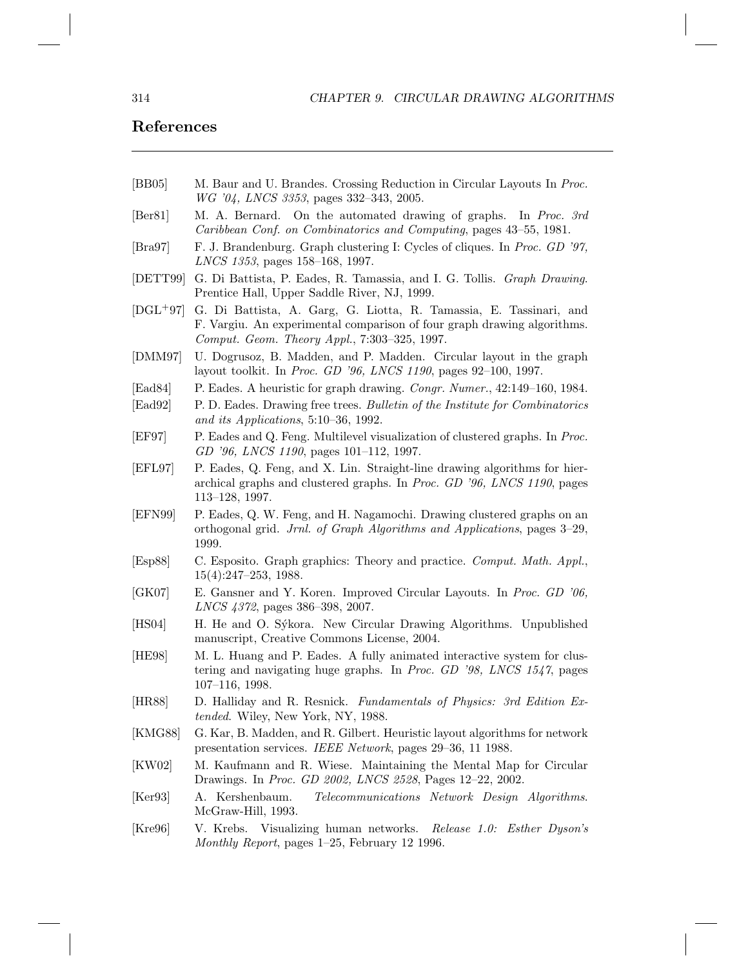#### References

- [BB05] M. Baur and U. Brandes. Crossing Reduction in Circular Layouts In Proc. WG '04, LNCS 3353, pages 332–343, 2005.
- [Ber81] M. A. Bernard. On the automated drawing of graphs. In Proc. 3rd Caribbean Conf. on Combinatorics and Computing, pages 43–55, 1981.
- [Bra97] F. J. Brandenburg. Graph clustering I: Cycles of cliques. In Proc. GD '97, LNCS 1353, pages 158–168, 1997.
- [DETT99] G. Di Battista, P. Eades, R. Tamassia, and I. G. Tollis. Graph Drawing. Prentice Hall, Upper Saddle River, NJ, 1999.
- [DGL<sup>+</sup>97] G. Di Battista, A. Garg, G. Liotta, R. Tamassia, E. Tassinari, and F. Vargiu. An experimental comparison of four graph drawing algorithms. Comput. Geom. Theory Appl., 7:303–325, 1997.
- [DMM97] U. Dogrusoz, B. Madden, and P. Madden. Circular layout in the graph layout toolkit. In Proc. GD '96, LNCS 1190, pages 92–100, 1997.
- [Ead84] P. Eades. A heuristic for graph drawing. Congr. Numer., 42:149–160, 1984.
- [Ead92] P. D. Eades. Drawing free trees. Bulletin of the Institute for Combinatorics and its Applications, 5:10–36, 1992.
- [EF97] P. Eades and Q. Feng. Multilevel visualization of clustered graphs. In Proc. GD '96, LNCS 1190, pages 101–112, 1997.
- [EFL97] P. Eades, Q. Feng, and X. Lin. Straight-line drawing algorithms for hierarchical graphs and clustered graphs. In Proc. GD '96, LNCS 1190, pages 113–128, 1997.
- [EFN99] P. Eades, Q. W. Feng, and H. Nagamochi. Drawing clustered graphs on an orthogonal grid. Jrnl. of Graph Algorithms and Applications, pages 3–29, 1999.
- [Esp88] C. Esposito. Graph graphics: Theory and practice. Comput. Math. Appl., 15(4):247–253, 1988.
- [GK07] E. Gansner and Y. Koren. Improved Circular Layouts. In Proc. GD '06, LNCS 4372, pages 386–398, 2007.
- [HS04] H. He and O. Sýkora. New Circular Drawing Algorithms. Unpublished manuscript, Creative Commons License, 2004.
- [HE98] M. L. Huang and P. Eades. A fully animated interactive system for clustering and navigating huge graphs. In Proc. GD '98, LNCS 1547, pages 107–116, 1998.
- [HR88] D. Halliday and R. Resnick. Fundamentals of Physics: 3rd Edition Extended. Wiley, New York, NY, 1988.
- [KMG88] G. Kar, B. Madden, and R. Gilbert. Heuristic layout algorithms for network presentation services. IEEE Network, pages 29–36, 11 1988.
- [KW02] M. Kaufmann and R. Wiese. Maintaining the Mental Map for Circular Drawings. In Proc. GD 2002, LNCS 2528, Pages 12–22, 2002.
- [Ker93] A. Kershenbaum. Telecommunications Network Design Algorithms. McGraw-Hill, 1993.
- [Kre96] V. Krebs. Visualizing human networks. Release 1.0: Esther Dyson's Monthly Report, pages 1–25, February 12 1996.